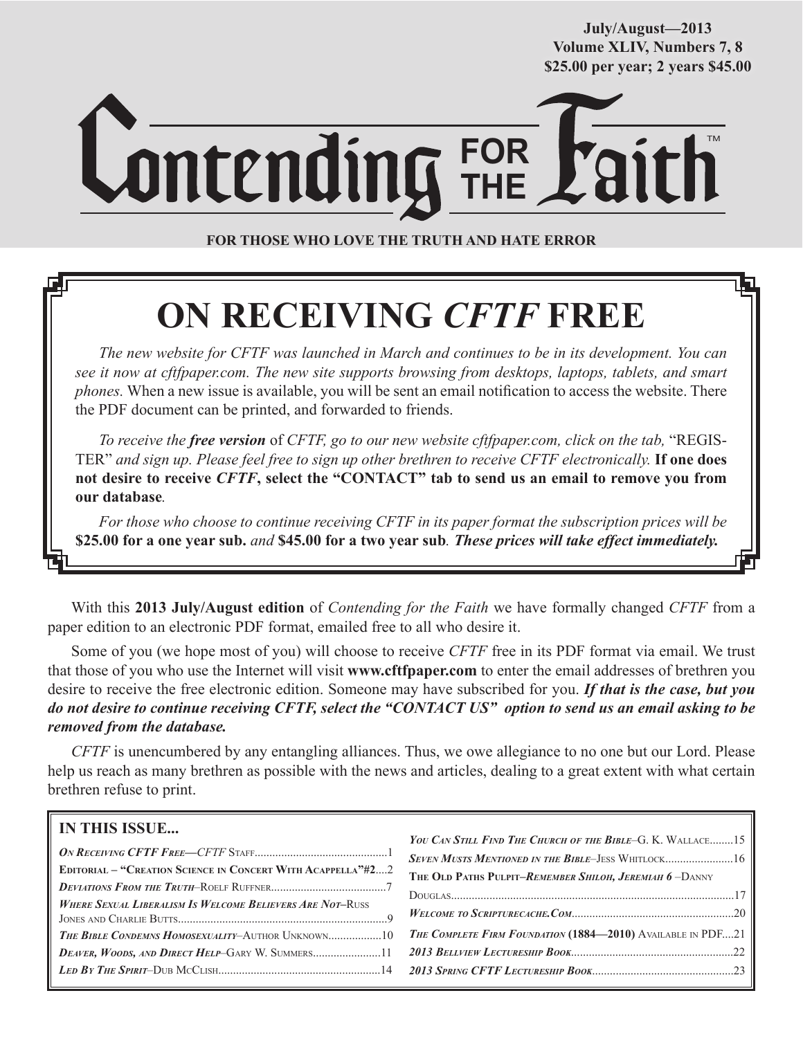**July/August—2013 Volume XLIV, Numbers 7, 8 \$25.00 per year; 2 years \$45.00**

# **FOR THE** TM

**FOR THOSE WHO LOVE THE TRUTH AND HATE ERROR**

# **ON RECEIVING** *CFTF* **FREE**

*The new website for CFTF was launched in March and continues to be in its development. You can see it now at cftfpaper.com. The new site supports browsing from desktops, laptops, tablets, and smart phones.* When a new issue is available, you will be sent an email notification to access the website. There the PDF document can be printed, and forwarded to friends.

*To receive the free version* of *CFTF, go to our new website cftfpaper.com, click on the tab,* "REGIS-TER" *and sign up. Please feel free to sign up other brethren to receive CFTF electronically.* **If one does not desire to receive** *CFTF***, select the "CONTACT" tab to send us an email to remove you from our database***.*

*For those who choose to continue receiving CFTF in its paper format the subscription prices will be*  **\$25.00 for a one year sub.** *and* **\$45.00 for a two year sub***. These prices will take effect immediately.*

With this **2013 July/August edition** of *Contending for the Faith* we have formally changed *CFTF* from a paper edition to an electronic PDF format, emailed free to all who desire it.

Some of you (we hope most of you) will choose to receive *CFTF* free in its PDF format via email. We trust that those of you who use the Internet will visit **www.cftfpaper.com** to enter the email addresses of brethren you desire to receive the free electronic edition. Someone may have subscribed for you. *If that is the case, but you do not desire to continue receiving CFTF, select the "CONTACT US" option to send us an email asking to be removed from the database.*

*CFTF* is unencumbered by any entangling alliances. Thus, we owe allegiance to no one but our Lord. Please help us reach as many brethren as possible with the news and articles, dealing to a great extent with what certain brethren refuse to print.

# **IN THIS ISSUE...**

|                                                                    | YOU CAN STILL FIND THE CHURCH OF THE BIBLE-G. K. WALLACE15         |
|--------------------------------------------------------------------|--------------------------------------------------------------------|
|                                                                    | SEVEN MUSTS MENTIONED IN THE BIBLE-JESS WHITLOCK16                 |
| <b>EDITORIAL - "CREATION SCIENCE IN CONCERT WITH ACAPPELLA"#22</b> | THE OLD PATHS PULPIT-REMEMBER SHILOH, JEREMIAH 6-DANNY             |
|                                                                    |                                                                    |
| <b>WHERE SEXUAL LIBERALISM IS WELCOME BELIEVERS ARE NOT-RUSS</b>   |                                                                    |
|                                                                    |                                                                    |
| <b>THE BIBLE CONDEMNS HOMOSEXUALITY-AUTHOR UNKNOWN10</b>           | <b>THE COMPLETE FIRM FOUNDATION (1884-2010)</b> AVAILABLE IN PDF21 |
| <b>DEAVER, WOODS, AND DIRECT HELP-GARY W. SUMMERS11</b>            |                                                                    |
|                                                                    | LED BY THE SPIRIT-DUB MCCLISH $\ldots$ 23                          |
|                                                                    |                                                                    |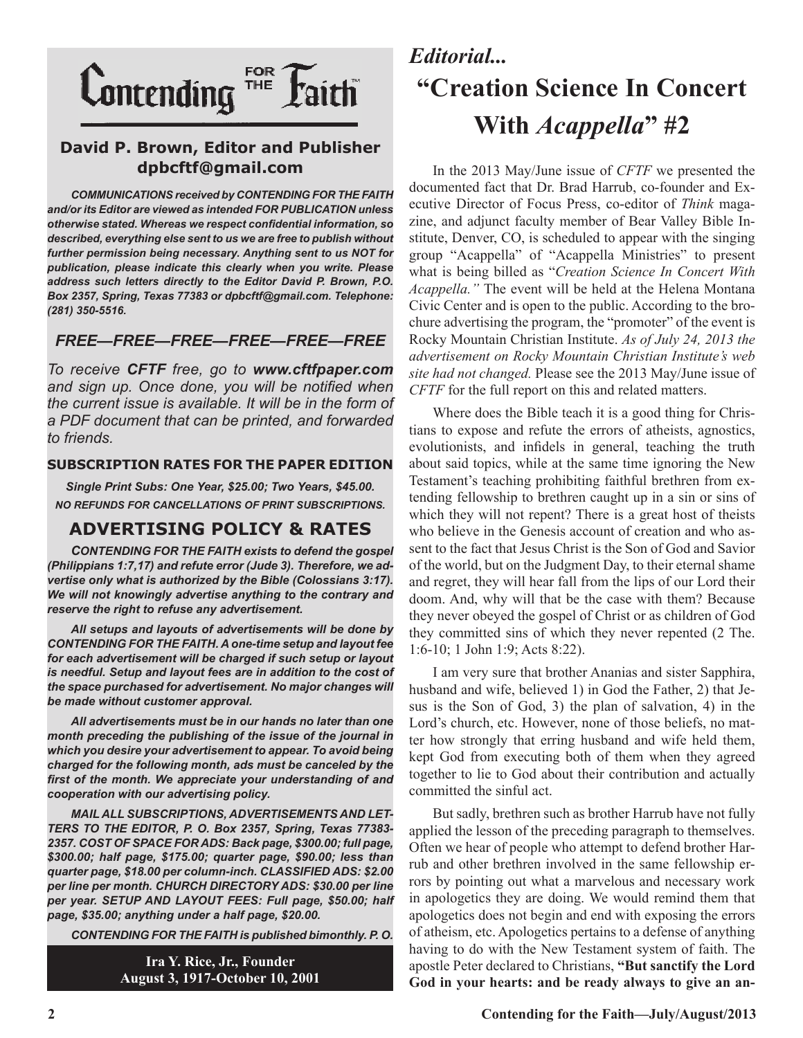

# **David P. Brown, Editor and Publisher dpbcftf@gmail.com**

*COMMUNICATIONS received by CONTENDING FOR THE FAITH and/or its Editor are viewed as intended FOR PUBLICATION unless otherwise stated. Whereas we respect confidential information, so described, everything else sent to us we are free to publish without further permission being necessary. Anything sent to us NOT for publication, please indicate this clearly when you write. Please address such letters directly to the Editor David P. Brown, P.O. Box 2357, Spring, Texas 77383 or dpbcftf@gmail.com. Telephone: (281) 350-5516.*

## *FREE—FREE—FREE—FREE—FREE—FREE*

*To receive CFTF free, go to www.cftfpaper.com and sign up. Once done, you will be notified when the current issue is available. It will be in the form of a PDF document that can be printed, and forwarded to friends.*

### **SUBSCRIPTION RATES FOR THE PAPER EDITION**

*Single Print Subs: One Year, \$25.00; Two Years, \$45.00. NO REFUNDS FOR CANCELLATIONS OF PRINT SUBSCRIPTIONS.*

# **ADVERTISING POLICY & RATES**

*CONTENDING FOR THE FAITH exists to defend the gospel (Philippians 1:7,17) and refute error (Jude 3). Therefore, we advertise only what is authorized by the Bible (Colossians 3:17). We will not knowingly advertise anything to the contrary and reserve the right to refuse any advertisement.*

*All setups and layouts of advertisements will be done by CONTENDING FOR THE FAITH. A one-time setup and layout fee for each advertisement will be charged if such setup or layout is needful. Setup and layout fees are in addition to the cost of the space purchased for advertisement. No major changes will be made without customer approval.*

*All advertisements must be in our hands no later than one month preceding the publishing of the issue of the journal in which you desire your advertisement to appear. To avoid being charged for the following month, ads must be canceled by the first of the month. We appreciate your understanding of and cooperation with our advertising policy.*

*MAIL ALL SUBSCRIPTIONS, ADVERTISEMENTS AND LET-TERS TO THE EDITOR, P. O. Box 2357, Spring, Texas 77383- 2357. COST OF SPACE FOR ADS: Back page, \$300.00; full page, \$300.00; half page, \$175.00; quarter page, \$90.00; less than quarter page, \$18.00 per column-inch. CLASSIFIED ADS: \$2.00 per line per month. CHURCH DIRECTORY ADS: \$30.00 per line per year. SETUP AND LAYOUT FEES: Full page, \$50.00; half page, \$35.00; anything under a half page, \$20.00.*

*CONTENDING FOR THE FAITH is published bimonthly. P. O.* 

**Ira Y. Rice, Jr., Founder August 3, 1917-October 10, 2001**

# *Editorial...* **"Creation Science In Concert With** *Acappella***" #2**

In the 2013 May/June issue of *CFTF* we presented the documented fact that Dr. Brad Harrub, co-founder and Executive Director of Focus Press, co-editor of *Think* magazine, and adjunct faculty member of Bear Valley Bible Institute, Denver, CO, is scheduled to appear with the singing group "Acappella" of "Acappella Ministries" to present what is being billed as "*Creation Science In Concert With Acappella."* The event will be held at the Helena Montana Civic Center and is open to the public. According to the brochure advertising the program, the "promoter" of the event is Rocky Mountain Christian Institute. *As of July 24, 2013 the advertisement on Rocky Mountain Christian Institute's web site had not changed.* Please see the 2013 May/June issue of *CFTF* for the full report on this and related matters.

Where does the Bible teach it is a good thing for Christians to expose and refute the errors of atheists, agnostics, evolutionists, and infidels in general, teaching the truth about said topics, while at the same time ignoring the New Testament's teaching prohibiting faithful brethren from extending fellowship to brethren caught up in a sin or sins of which they will not repent? There is a great host of theists who believe in the Genesis account of creation and who assent to the fact that Jesus Christ is the Son of God and Savior of the world, but on the Judgment Day, to their eternal shame and regret, they will hear fall from the lips of our Lord their doom. And, why will that be the case with them? Because they never obeyed the gospel of Christ or as children of God they committed sins of which they never repented (2 The. 1:6-10; 1 John 1:9; Acts 8:22).

I am very sure that brother Ananias and sister Sapphira, husband and wife, believed 1) in God the Father, 2) that Jesus is the Son of God, 3) the plan of salvation, 4) in the Lord's church, etc. However, none of those beliefs, no matter how strongly that erring husband and wife held them, kept God from executing both of them when they agreed together to lie to God about their contribution and actually committed the sinful act.

But sadly, brethren such as brother Harrub have not fully applied the lesson of the preceding paragraph to themselves. Often we hear of people who attempt to defend brother Harrub and other brethren involved in the same fellowship errors by pointing out what a marvelous and necessary work in apologetics they are doing. We would remind them that apologetics does not begin and end with exposing the errors of atheism, etc. Apologetics pertains to a defense of anything having to do with the New Testament system of faith. The apostle Peter declared to Christians, **"But sanctify the Lord God in your hearts: and be ready always to give an an-**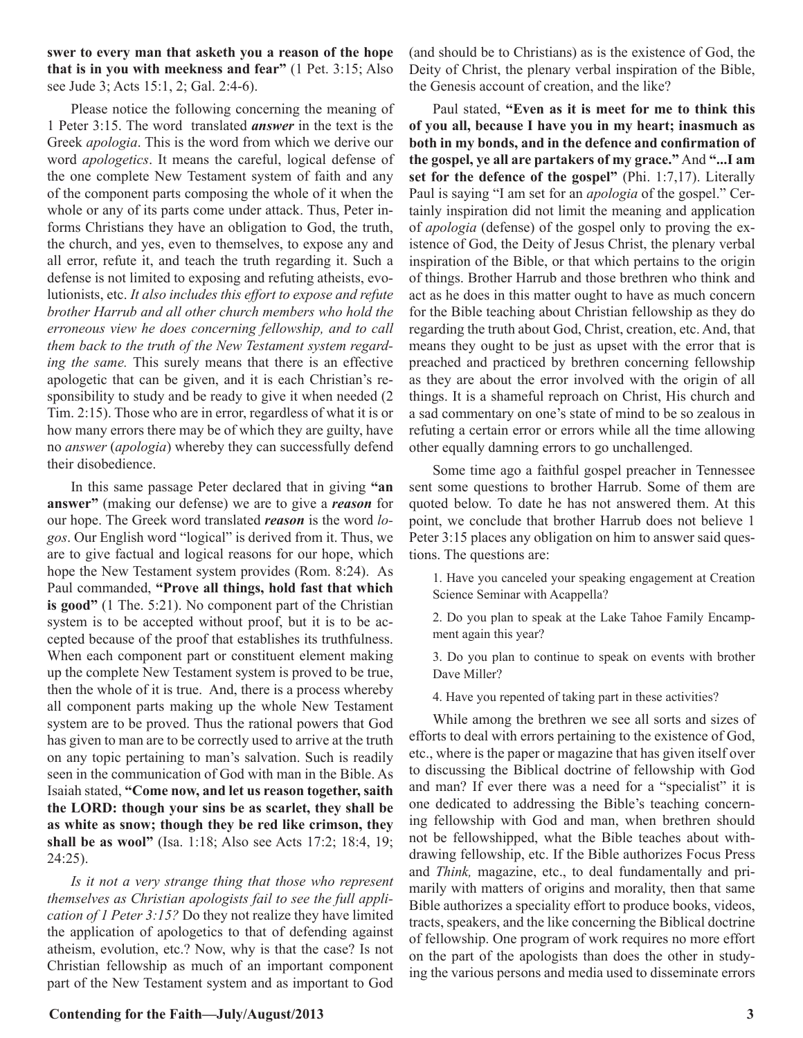**swer to every man that asketh you a reason of the hope that is in you with meekness and fear"** (1 Pet. 3:15; Also see Jude 3; Acts 15:1, 2; Gal. 2:4-6).

Please notice the following concerning the meaning of 1 Peter 3:15. The word translated *answer* in the text is the Greek *apologia*. This is the word from which we derive our word *apologetics*. It means the careful, logical defense of the one complete New Testament system of faith and any of the component parts composing the whole of it when the whole or any of its parts come under attack. Thus, Peter informs Christians they have an obligation to God, the truth, the church, and yes, even to themselves, to expose any and all error, refute it, and teach the truth regarding it. Such a defense is not limited to exposing and refuting atheists, evolutionists, etc. *It also includes this effort to expose and refute brother Harrub and all other church members who hold the erroneous view he does concerning fellowship, and to call them back to the truth of the New Testament system regarding the same.* This surely means that there is an effective apologetic that can be given, and it is each Christian's responsibility to study and be ready to give it when needed (2 Tim. 2:15). Those who are in error, regardless of what it is or how many errors there may be of which they are guilty, have no *answer* (*apologia*) whereby they can successfully defend their disobedience.

In this same passage Peter declared that in giving **"an answer"** (making our defense) we are to give a *reason* for our hope. The Greek word translated *reason* is the word *logos*. Our English word "logical" is derived from it. Thus, we are to give factual and logical reasons for our hope, which hope the New Testament system provides (Rom. 8:24). As Paul commanded, **"Prove all things, hold fast that which is good"** (1 The. 5:21). No component part of the Christian system is to be accepted without proof, but it is to be accepted because of the proof that establishes its truthfulness. When each component part or constituent element making up the complete New Testament system is proved to be true, then the whole of it is true. And, there is a process whereby all component parts making up the whole New Testament system are to be proved. Thus the rational powers that God has given to man are to be correctly used to arrive at the truth on any topic pertaining to man's salvation. Such is readily seen in the communication of God with man in the Bible. As Isaiah stated, **"Come now, and let us reason together, saith the LORD: though your sins be as scarlet, they shall be as white as snow; though they be red like crimson, they shall be as wool"** (Isa. 1:18; Also see Acts 17:2; 18:4, 19; 24:25).

*Is it not a very strange thing that those who represent themselves as Christian apologists fail to see the full application of 1 Peter 3:15?* Do they not realize they have limited the application of apologetics to that of defending against atheism, evolution, etc.? Now, why is that the case? Is not Christian fellowship as much of an important component part of the New Testament system and as important to God

(and should be to Christians) as is the existence of God, the Deity of Christ, the plenary verbal inspiration of the Bible, the Genesis account of creation, and the like?

Paul stated, **"Even as it is meet for me to think this of you all, because I have you in my heart; inasmuch as both in my bonds, and in the defence and confirmation of the gospel, ye all are partakers of my grace."** And **"...I am set for the defence of the gospel"** (Phi. 1:7,17). Literally Paul is saying "I am set for an *apologia* of the gospel." Certainly inspiration did not limit the meaning and application of *apologia* (defense) of the gospel only to proving the existence of God, the Deity of Jesus Christ, the plenary verbal inspiration of the Bible, or that which pertains to the origin of things. Brother Harrub and those brethren who think and act as he does in this matter ought to have as much concern for the Bible teaching about Christian fellowship as they do regarding the truth about God, Christ, creation, etc. And, that means they ought to be just as upset with the error that is preached and practiced by brethren concerning fellowship as they are about the error involved with the origin of all things. It is a shameful reproach on Christ, His church and a sad commentary on one's state of mind to be so zealous in refuting a certain error or errors while all the time allowing other equally damning errors to go unchallenged.

Some time ago a faithful gospel preacher in Tennessee sent some questions to brother Harrub. Some of them are quoted below. To date he has not answered them. At this point, we conclude that brother Harrub does not believe 1 Peter 3:15 places any obligation on him to answer said questions. The questions are:

1. Have you canceled your speaking engagement at Creation Science Seminar with Acappella?

2. Do you plan to speak at the Lake Tahoe Family Encampment again this year?

3. Do you plan to continue to speak on events with brother Dave Miller?

4. Have you repented of taking part in these activities?

While among the brethren we see all sorts and sizes of efforts to deal with errors pertaining to the existence of God, etc., where is the paper or magazine that has given itself over to discussing the Biblical doctrine of fellowship with God and man? If ever there was a need for a "specialist" it is one dedicated to addressing the Bible's teaching concerning fellowship with God and man, when brethren should not be fellowshipped, what the Bible teaches about withdrawing fellowship, etc. If the Bible authorizes Focus Press and *Think,* magazine, etc., to deal fundamentally and primarily with matters of origins and morality, then that same Bible authorizes a speciality effort to produce books, videos, tracts, speakers, and the like concerning the Biblical doctrine of fellowship. One program of work requires no more effort on the part of the apologists than does the other in studying the various persons and media used to disseminate errors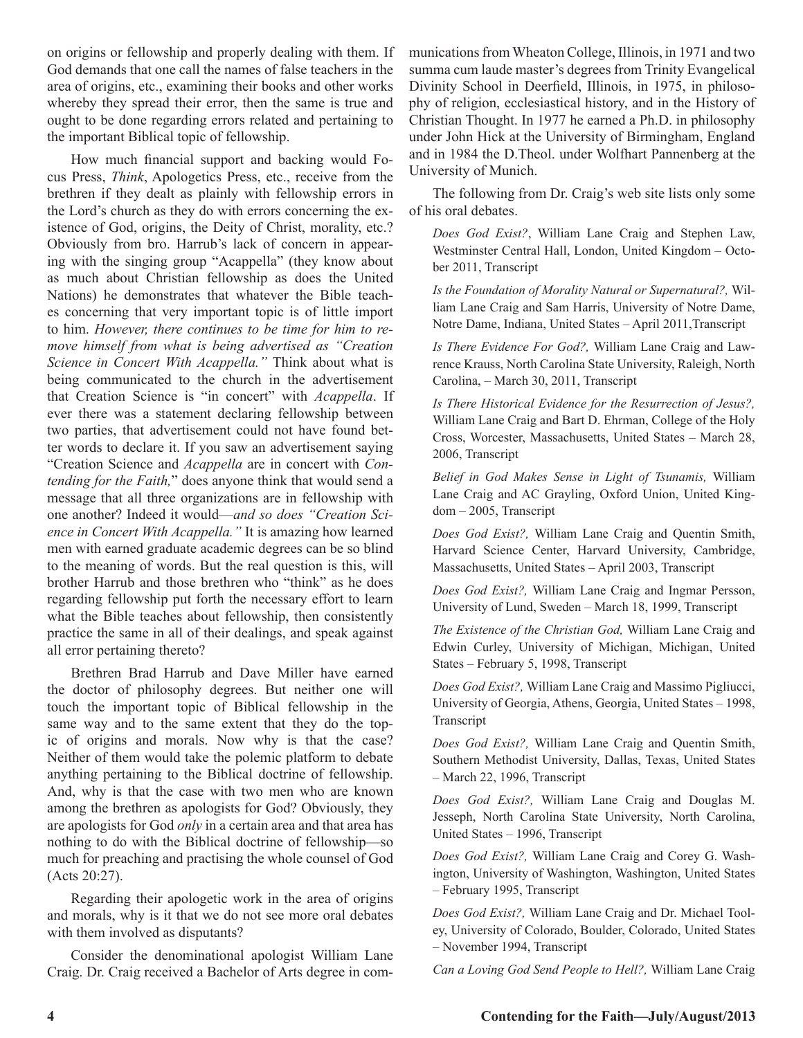on origins or fellowship and properly dealing with them. If God demands that one call the names of false teachers in the area of origins, etc., examining their books and other works whereby they spread their error, then the same is true and ought to be done regarding errors related and pertaining to the important Biblical topic of fellowship.

How much financial support and backing would Focus Press, *Think*, Apologetics Press, etc., receive from the brethren if they dealt as plainly with fellowship errors in the Lord's church as they do with errors concerning the existence of God, origins, the Deity of Christ, morality, etc.? Obviously from bro. Harrub's lack of concern in appearing with the singing group "Acappella" (they know about as much about Christian fellowship as does the United Nations) he demonstrates that whatever the Bible teaches concerning that very important topic is of little import to him. *However, there continues to be time for him to remove himself from what is being advertised as "Creation Science in Concert With Acappella."* Think about what is being communicated to the church in the advertisement that Creation Science is "in concert" with *Acappella*. If ever there was a statement declaring fellowship between two parties, that advertisement could not have found better words to declare it. If you saw an advertisement saying "Creation Science and *Acappella* are in concert with *Contending for the Faith,*" does anyone think that would send a message that all three organizations are in fellowship with one another? Indeed it would—*and so does "Creation Science in Concert With Acappella."* It is amazing how learned men with earned graduate academic degrees can be so blind to the meaning of words. But the real question is this, will brother Harrub and those brethren who "think" as he does regarding fellowship put forth the necessary effort to learn what the Bible teaches about fellowship, then consistently practice the same in all of their dealings, and speak against all error pertaining thereto?

Brethren Brad Harrub and Dave Miller have earned the doctor of philosophy degrees. But neither one will touch the important topic of Biblical fellowship in the same way and to the same extent that they do the topic of origins and morals. Now why is that the case? Neither of them would take the polemic platform to debate anything pertaining to the Biblical doctrine of fellowship. And, why is that the case with two men who are known among the brethren as apologists for God? Obviously, they are apologists for God *only* in a certain area and that area has nothing to do with the Biblical doctrine of fellowship—so much for preaching and practising the whole counsel of God (Acts 20:27).

Regarding their apologetic work in the area of origins and morals, why is it that we do not see more oral debates with them involved as disputants?

Consider the denominational apologist William Lane Craig. Dr. Craig received a Bachelor of Arts degree in communications from Wheaton College, Illinois, in 1971 and two summa cum laude master's degrees from Trinity Evangelical Divinity School in Deerfield, Illinois, in 1975, in philosophy of religion, ecclesiastical history, and in the History of Christian Thought. In 1977 he earned a Ph.D. in philosophy under John Hick at the University of Birmingham, England and in 1984 the D.Theol. under Wolfhart Pannenberg at the University of Munich.

The following from Dr. Craig's web site lists only some of his oral debates.

*Does God Exist?*, William Lane Craig and Stephen Law, Westminster Central Hall, London, United Kingdom – October 2011, Transcript

*Is the Foundation of Morality Natural or Supernatural?,* William Lane Craig and Sam Harris, University of Notre Dame, Notre Dame, Indiana, United States - April 2011, Transcript

*Is There Evidence For God?,* William Lane Craig and Lawrence Krauss, North Carolina State University, Raleigh, North Carolina, – March 30, 2011, Transcript

*Is There Historical Evidence for the Resurrection of Jesus?,*  William Lane Craig and Bart D. Ehrman, College of the Holy Cross, Worcester, Massachusetts, United States – March 28, 2006, Transcript

*Belief in God Makes Sense in Light of Tsunamis,* William Lane Craig and AC Grayling, Oxford Union, United Kingdom – 2005, Transcript

*Does God Exist?,* William Lane Craig and Quentin Smith, Harvard Science Center, Harvard University, Cambridge, Massachusetts, United States – April 2003, Transcript

*Does God Exist?,* William Lane Craig and Ingmar Persson, University of Lund, Sweden – March 18, 1999, Transcript

*The Existence of the Christian God,* William Lane Craig and Edwin Curley, University of Michigan, Michigan, United States – February 5, 1998, Transcript

*Does God Exist?,* William Lane Craig and Massimo Pigliucci, University of Georgia, Athens, Georgia, United States – 1998, Transcript

*Does God Exist?,* William Lane Craig and Quentin Smith, Southern Methodist University, Dallas, Texas, United States – March 22, 1996, Transcript

*Does God Exist?,* William Lane Craig and Douglas M. Jesseph, North Carolina State University, North Carolina, United States – 1996, Transcript

*Does God Exist?,* William Lane Craig and Corey G. Washington, University of Washington, Washington, United States – February 1995, Transcript

*Does God Exist?,* William Lane Craig and Dr. Michael Tooley, University of Colorado, Boulder, Colorado, United States – November 1994, Transcript

*Can a Loving God Send People to Hell?,* William Lane Craig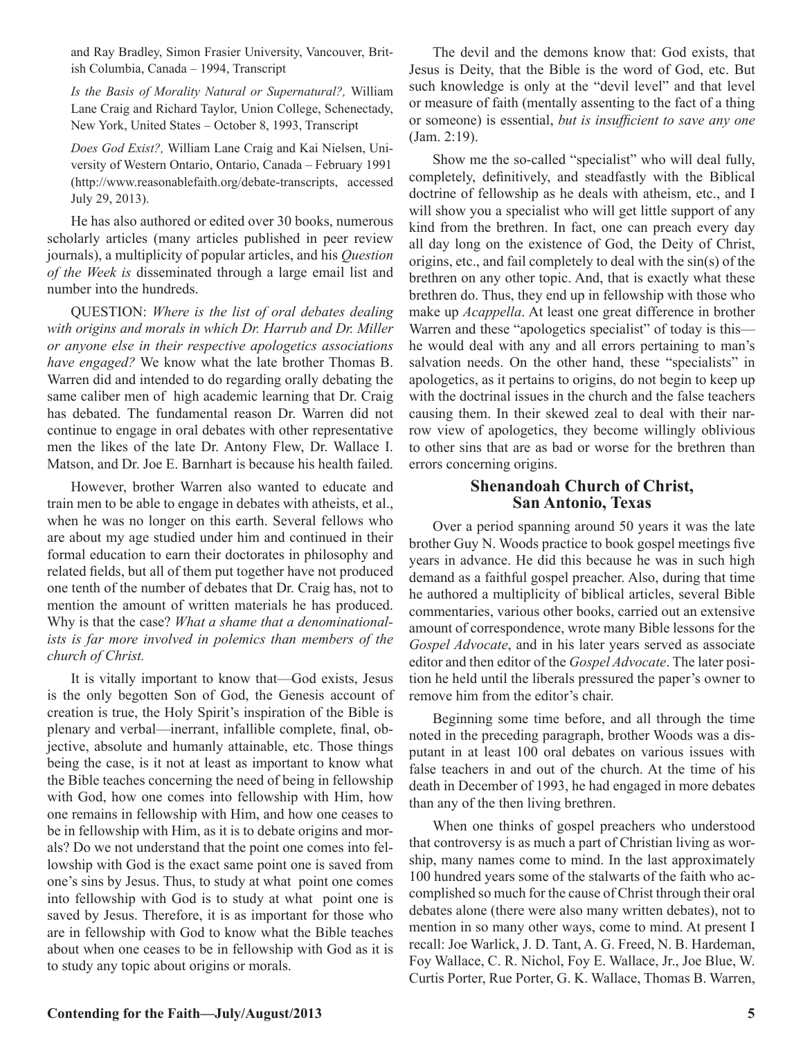and Ray Bradley, Simon Frasier University, Vancouver, British Columbia, Canada – 1994, Transcript

*Is the Basis of Morality Natural or Supernatural?,* William Lane Craig and Richard Taylor, Union College, Schenectady, New York, United States – October 8, 1993, Transcript

*Does God Exist?,* William Lane Craig and Kai Nielsen, University of Western Ontario, Ontario, Canada – February 1991 (http://www.reasonablefaith.org/debate-transcripts, accessed July 29, 2013).

He has also authored or edited over 30 books, numerous scholarly articles (many articles published in peer review journals), a multiplicity of popular articles, and his *Question of the Week is* disseminated through a large email list and number into the hundreds.

QUESTION: *Where is the list of oral debates dealing with origins and morals in which Dr. Harrub and Dr. Miller or anyone else in their respective apologetics associations have engaged?* We know what the late brother Thomas B. Warren did and intended to do regarding orally debating the same caliber men of high academic learning that Dr. Craig has debated. The fundamental reason Dr. Warren did not continue to engage in oral debates with other representative men the likes of the late Dr. Antony Flew, Dr. Wallace I. Matson, and Dr. Joe E. Barnhart is because his health failed.

However, brother Warren also wanted to educate and train men to be able to engage in debates with atheists, et al., when he was no longer on this earth. Several fellows who are about my age studied under him and continued in their formal education to earn their doctorates in philosophy and related fields, but all of them put together have not produced one tenth of the number of debates that Dr. Craig has, not to mention the amount of written materials he has produced. Why is that the case? *What a shame that a denominationalists is far more involved in polemics than members of the church of Christ.*

It is vitally important to know that—God exists, Jesus is the only begotten Son of God, the Genesis account of creation is true, the Holy Spirit's inspiration of the Bible is plenary and verbal—inerrant, infallible complete, final, objective, absolute and humanly attainable, etc. Those things being the case, is it not at least as important to know what the Bible teaches concerning the need of being in fellowship with God, how one comes into fellowship with Him, how one remains in fellowship with Him, and how one ceases to be in fellowship with Him, as it is to debate origins and morals? Do we not understand that the point one comes into fellowship with God is the exact same point one is saved from one's sins by Jesus. Thus, to study at what point one comes into fellowship with God is to study at what point one is saved by Jesus. Therefore, it is as important for those who are in fellowship with God to know what the Bible teaches about when one ceases to be in fellowship with God as it is to study any topic about origins or morals.

The devil and the demons know that: God exists, that Jesus is Deity, that the Bible is the word of God, etc. But such knowledge is only at the "devil level" and that level or measure of faith (mentally assenting to the fact of a thing or someone) is essential, *but is insufficient to save any one*  (Jam. 2:19).

Show me the so-called "specialist" who will deal fully, completely, definitively, and steadfastly with the Biblical doctrine of fellowship as he deals with atheism, etc., and I will show you a specialist who will get little support of any kind from the brethren. In fact, one can preach every day all day long on the existence of God, the Deity of Christ, origins, etc., and fail completely to deal with the sin(s) of the brethren on any other topic. And, that is exactly what these brethren do. Thus, they end up in fellowship with those who make up *Acappella*. At least one great difference in brother Warren and these "apologetics specialist" of today is this he would deal with any and all errors pertaining to man's salvation needs. On the other hand, these "specialists" in apologetics, as it pertains to origins, do not begin to keep up with the doctrinal issues in the church and the false teachers causing them. In their skewed zeal to deal with their narrow view of apologetics, they become willingly oblivious to other sins that are as bad or worse for the brethren than errors concerning origins.

## **Shenandoah Church of Christ, San Antonio, Texas**

Over a period spanning around 50 years it was the late brother Guy N. Woods practice to book gospel meetings five years in advance. He did this because he was in such high demand as a faithful gospel preacher. Also, during that time he authored a multiplicity of biblical articles, several Bible commentaries, various other books, carried out an extensive amount of correspondence, wrote many Bible lessons for the *Gospel Advocate*, and in his later years served as associate editor and then editor of the *Gospel Advocate*. The later position he held until the liberals pressured the paper's owner to remove him from the editor's chair.

Beginning some time before, and all through the time noted in the preceding paragraph, brother Woods was a disputant in at least 100 oral debates on various issues with false teachers in and out of the church. At the time of his death in December of 1993, he had engaged in more debates than any of the then living brethren.

When one thinks of gospel preachers who understood that controversy is as much a part of Christian living as worship, many names come to mind. In the last approximately 100 hundred years some of the stalwarts of the faith who accomplished so much for the cause of Christ through their oral debates alone (there were also many written debates), not to mention in so many other ways, come to mind. At present I recall: Joe Warlick, J. D. Tant, A. G. Freed, N. B. Hardeman, Foy Wallace, C. R. Nichol, Foy E. Wallace, Jr., Joe Blue, W. Curtis Porter, Rue Porter, G. K. Wallace, Thomas B. Warren,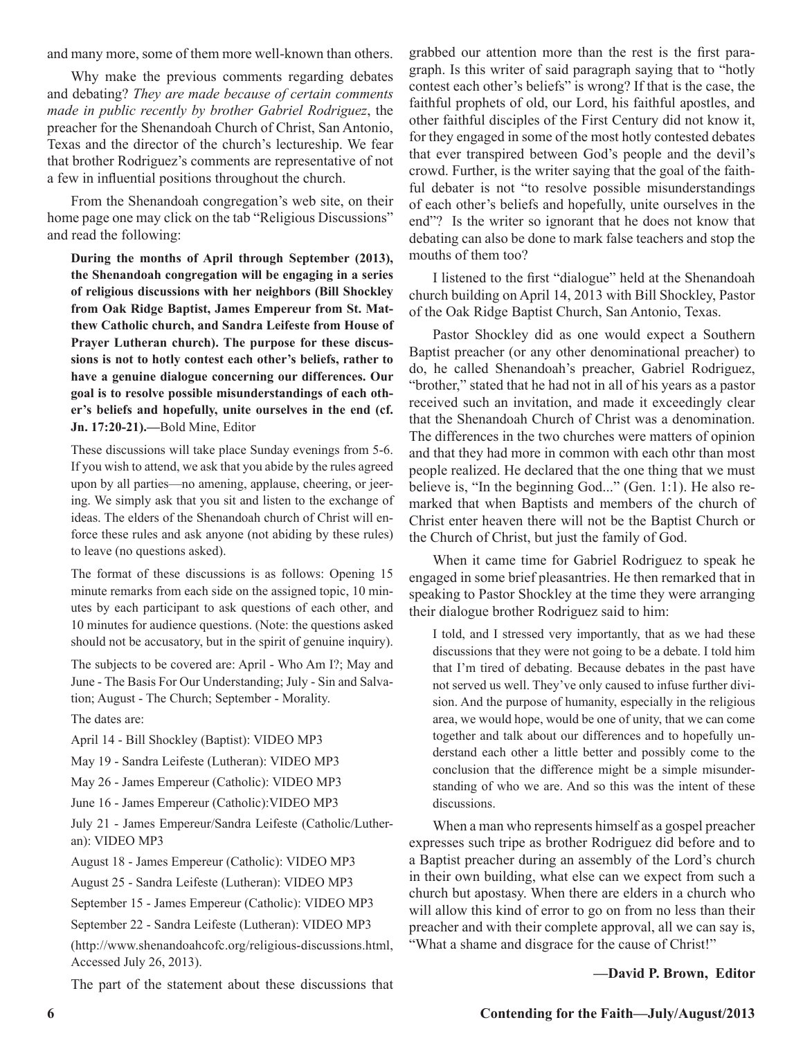and many more, some of them more well-known than others.

Why make the previous comments regarding debates and debating? *They are made because of certain comments made in public recently by brother Gabriel Rodriguez*, the preacher for the Shenandoah Church of Christ, San Antonio, Texas and the director of the church's lectureship. We fear that brother Rodriguez's comments are representative of not a few in influential positions throughout the church.

From the Shenandoah congregation's web site, on their home page one may click on the tab "Religious Discussions" and read the following:

**During the months of April through September (2013), the Shenandoah congregation will be engaging in a series of religious discussions with her neighbors (Bill Shockley from Oak Ridge Baptist, James Empereur from St. Matthew Catholic church, and Sandra Leifeste from House of Prayer Lutheran church). The purpose for these discussions is not to hotly contest each other's beliefs, rather to have a genuine dialogue concerning our differences. Our goal is to resolve possible misunderstandings of each other's beliefs and hopefully, unite ourselves in the end (cf. Jn. 17:20-21).—**Bold Mine, Editor

These discussions will take place Sunday evenings from 5-6. If you wish to attend, we ask that you abide by the rules agreed upon by all parties—no amening, applause, cheering, or jeering. We simply ask that you sit and listen to the exchange of ideas. The elders of the Shenandoah church of Christ will enforce these rules and ask anyone (not abiding by these rules) to leave (no questions asked).

The format of these discussions is as follows: Opening 15 minute remarks from each side on the assigned topic, 10 minutes by each participant to ask questions of each other, and 10 minutes for audience questions. (Note: the questions asked should not be accusatory, but in the spirit of genuine inquiry).

The subjects to be covered are: April - Who Am I?; May and June - The Basis For Our Understanding; July - Sin and Salvation; August - The Church; September - Morality.

The dates are:

April 14 - Bill Shockley (Baptist): VIDEO MP3

May 19 - Sandra Leifeste (Lutheran): VIDEO MP3

May 26 - James Empereur (Catholic): VIDEO MP3

June 16 - James Empereur (Catholic):VIDEO MP3

July 21 - James Empereur/Sandra Leifeste (Catholic/Lutheran): VIDEO MP3

August 18 - James Empereur (Catholic): VIDEO MP3

August 25 - Sandra Leifeste (Lutheran): VIDEO MP3

September 15 - James Empereur (Catholic): VIDEO MP3

September 22 - Sandra Leifeste (Lutheran): VIDEO MP3

(http://www.shenandoahcofc.org/religious-discussions.html, Accessed July 26, 2013).

The part of the statement about these discussions that

grabbed our attention more than the rest is the first paragraph. Is this writer of said paragraph saying that to "hotly contest each other's beliefs" is wrong? If that is the case, the faithful prophets of old, our Lord, his faithful apostles, and other faithful disciples of the First Century did not know it, for they engaged in some of the most hotly contested debates that ever transpired between God's people and the devil's crowd. Further, is the writer saying that the goal of the faithful debater is not "to resolve possible misunderstandings of each other's beliefs and hopefully, unite ourselves in the end"? Is the writer so ignorant that he does not know that debating can also be done to mark false teachers and stop the mouths of them too?

I listened to the first "dialogue" held at the Shenandoah church building on April 14, 2013 with Bill Shockley, Pastor of the Oak Ridge Baptist Church, San Antonio, Texas.

Pastor Shockley did as one would expect a Southern Baptist preacher (or any other denominational preacher) to do, he called Shenandoah's preacher, Gabriel Rodriguez, "brother," stated that he had not in all of his years as a pastor received such an invitation, and made it exceedingly clear that the Shenandoah Church of Christ was a denomination. The differences in the two churches were matters of opinion and that they had more in common with each othr than most people realized. He declared that the one thing that we must believe is, "In the beginning God..." (Gen. 1:1). He also remarked that when Baptists and members of the church of Christ enter heaven there will not be the Baptist Church or the Church of Christ, but just the family of God.

When it came time for Gabriel Rodriguez to speak he engaged in some brief pleasantries. He then remarked that in speaking to Pastor Shockley at the time they were arranging their dialogue brother Rodriguez said to him:

I told, and I stressed very importantly, that as we had these discussions that they were not going to be a debate. I told him that I'm tired of debating. Because debates in the past have not served us well. They've only caused to infuse further division. And the purpose of humanity, especially in the religious area, we would hope, would be one of unity, that we can come together and talk about our differences and to hopefully understand each other a little better and possibly come to the conclusion that the difference might be a simple misunderstanding of who we are. And so this was the intent of these discussions.

When a man who represents himself as a gospel preacher expresses such tripe as brother Rodriguez did before and to a Baptist preacher during an assembly of the Lord's church in their own building, what else can we expect from such a church but apostasy. When there are elders in a church who will allow this kind of error to go on from no less than their preacher and with their complete approval, all we can say is, "What a shame and disgrace for the cause of Christ!"

**—David P. Brown, Editor**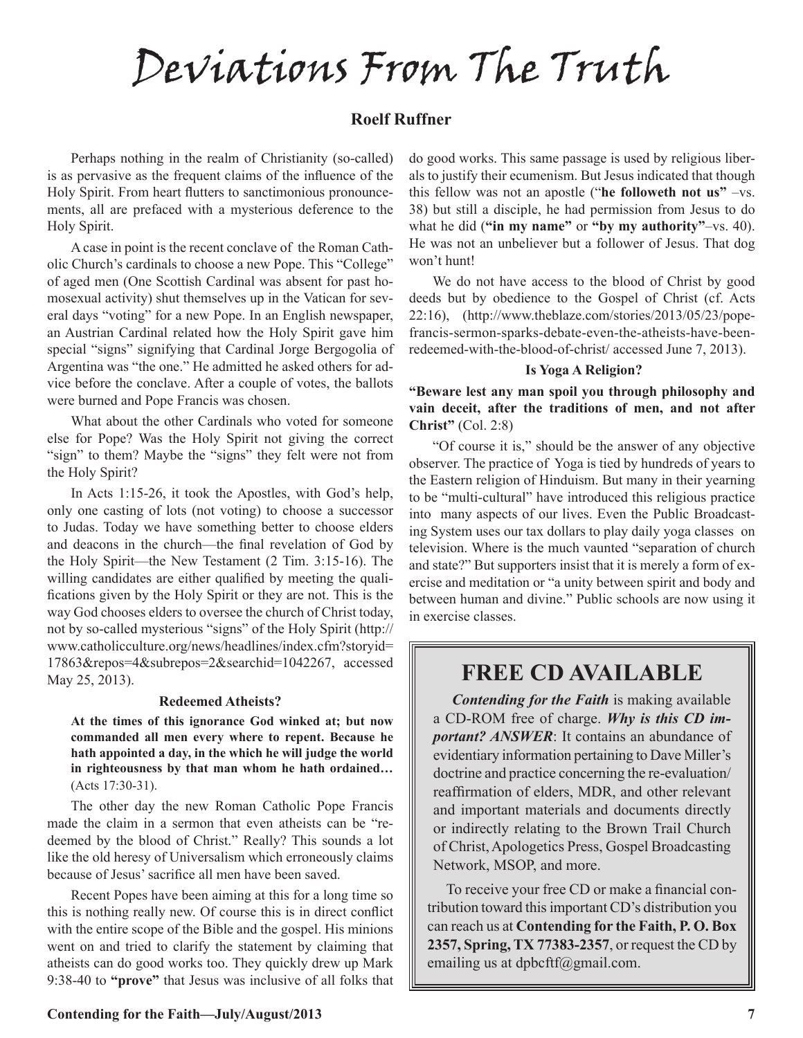Deviations From The Truth

## **Roelf Ruffner**

Perhaps nothing in the realm of Christianity (so-called) is as pervasive as the frequent claims of the influence of the Holy Spirit. From heart flutters to sanctimonious pronouncements, all are prefaced with a mysterious deference to the Holy Spirit.

A case in point is the recent conclave of the Roman Catholic Church's cardinals to choose a new Pope. This "College" of aged men (One Scottish Cardinal was absent for past homosexual activity) shut themselves up in the Vatican for several days "voting" for a new Pope. In an English newspaper, an Austrian Cardinal related how the Holy Spirit gave him special "signs" signifying that Cardinal Jorge Bergogolia of Argentina was "the one." He admitted he asked others for advice before the conclave. After a couple of votes, the ballots were burned and Pope Francis was chosen.

What about the other Cardinals who voted for someone else for Pope? Was the Holy Spirit not giving the correct "sign" to them? Maybe the "signs" they felt were not from the Holy Spirit?

In Acts 1:15-26, it took the Apostles, with God's help, only one casting of lots (not voting) to choose a successor to Judas. Today we have something better to choose elders and deacons in the church—the final revelation of God by the Holy Spirit—the New Testament (2 Tim. 3:15-16). The willing candidates are either qualified by meeting the qualifications given by the Holy Spirit or they are not. This is the way God chooses elders to oversee the church of Christ today, not by so-called mysterious "signs" of the Holy Spirit (http:// www.catholicculture.org/news/headlines/index.cfm?storyid= 17863&repos=4&subrepos=2&searchid=1042267, accessed May 25, 2013).

#### **Redeemed Atheists?**

**At the times of this ignorance God winked at; but now commanded all men every where to repent. Because he hath appointed a day, in the which he will judge the world in righteousness by that man whom he hath ordained…**  (Acts 17:30-31).

The other day the new Roman Catholic Pope Francis made the claim in a sermon that even atheists can be "redeemed by the blood of Christ." Really? This sounds a lot like the old heresy of Universalism which erroneously claims because of Jesus' sacrifice all men have been saved.

Recent Popes have been aiming at this for a long time so this is nothing really new. Of course this is in direct conflict with the entire scope of the Bible and the gospel. His minions went on and tried to clarify the statement by claiming that atheists can do good works too. They quickly drew up Mark 9:38-40 to **"prove"** that Jesus was inclusive of all folks that do good works. This same passage is used by religious liberals to justify their ecumenism. But Jesus indicated that though this fellow was not an apostle ("**he followeth not us"** –vs. 38) but still a disciple, he had permission from Jesus to do what he did (**"in my name"** or **"by my authority"**–vs. 40). He was not an unbeliever but a follower of Jesus. That dog won't hunt!

We do not have access to the blood of Christ by good deeds but by obedience to the Gospel of Christ (cf. Acts 22:16), (http://www.theblaze.com/stories/2013/05/23/popefrancis-sermon-sparks-debate-even-the-atheists-have-beenredeemed-with-the-blood-of-christ/ accessed June 7, 2013).

#### **Is Yoga A Religion?**

**"Beware lest any man spoil you through philosophy and vain deceit, after the traditions of men, and not after Christ"** (Col. 2:8)

"Of course it is," should be the answer of any objective observer. The practice of Yoga is tied by hundreds of years to the Eastern religion of Hinduism. But many in their yearning to be "multi-cultural" have introduced this religious practice into many aspects of our lives. Even the Public Broadcasting System uses our tax dollars to play daily yoga classes on television. Where is the much vaunted "separation of church and state?" But supporters insist that it is merely a form of exercise and meditation or "a unity between spirit and body and between human and divine." Public schools are now using it in exercise classes.

# **FREE CD AVAILABLE**

*Contending for the Faith* is making available a CD-ROM free of charge. *Why is this CD important? ANSWER*: It contains an abundance of evidentiary information pertaining to Dave Miller's doctrine and practice concerning the re-evaluation/ reaffirmation of elders, MDR, and other relevant and important materials and documents directly or indirectly relating to the Brown Trail Church of Christ, Apologetics Press, Gospel Broadcasting Network, MSOP, and more.

To receive your free CD or make a financial contribution toward this important CD's distribution you can reach us at **Contending for the Faith, P. O. Box 2357, Spring, TX 77383-2357**, or request the CD by emailing us at dpbcftf@gmail.com.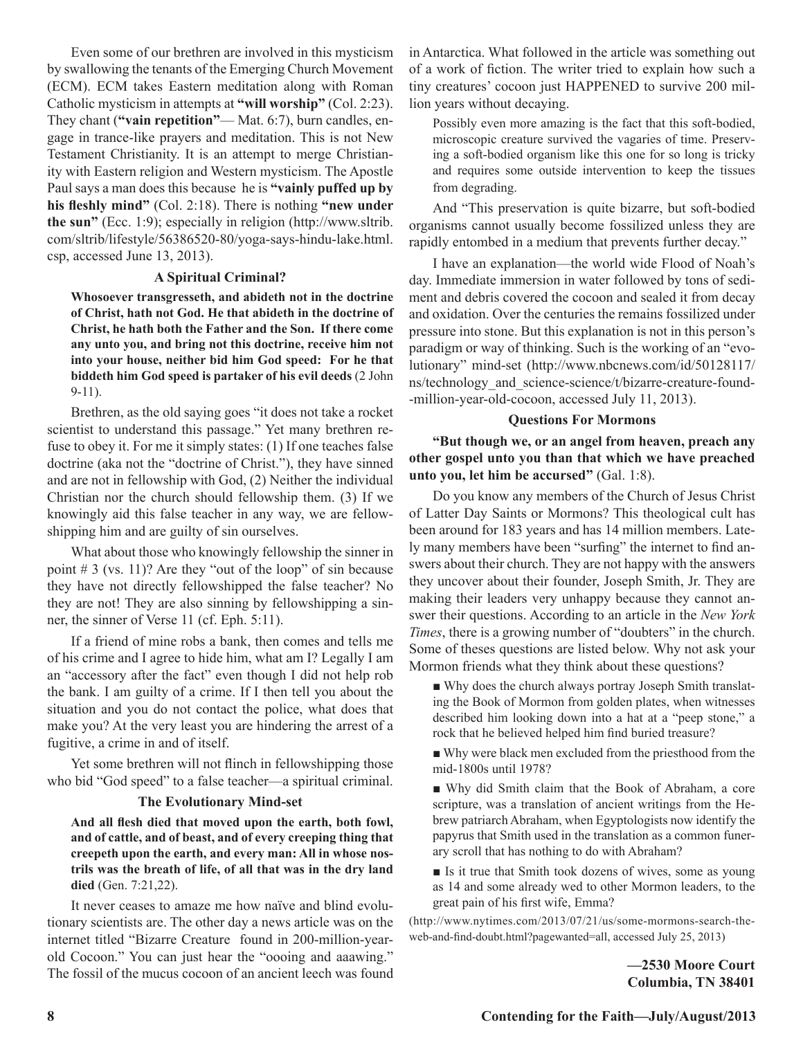Even some of our brethren are involved in this mysticism by swallowing the tenants of the Emerging Church Movement (ECM). ECM takes Eastern meditation along with Roman Catholic mysticism in attempts at **"will worship"** (Col. 2:23). They chant (**"vain repetition"**— Mat. 6:7), burn candles, engage in trance-like prayers and meditation. This is not New Testament Christianity. It is an attempt to merge Christianity with Eastern religion and Western mysticism. The Apostle Paul says a man does this because he is **"vainly puffed up by his fleshly mind"** (Col. 2:18). There is nothing **"new under the sun"** (Ecc. 1:9); especially in religion (http://www.sltrib. com/sltrib/lifestyle/56386520-80/yoga-says-hindu-lake.html. csp, accessed June 13, 2013).

#### **A Spiritual Criminal?**

**Whosoever transgresseth, and abideth not in the doctrine of Christ, hath not God. He that abideth in the doctrine of Christ, he hath both the Father and the Son. If there come any unto you, and bring not this doctrine, receive him not into your house, neither bid him God speed: For he that biddeth him God speed is partaker of his evil deeds** (2 John 9-11).

Brethren, as the old saying goes "it does not take a rocket scientist to understand this passage." Yet many brethren refuse to obey it. For me it simply states: (1) If one teaches false doctrine (aka not the "doctrine of Christ."), they have sinned and are not in fellowship with God, (2) Neither the individual Christian nor the church should fellowship them. (3) If we knowingly aid this false teacher in any way, we are fellowshipping him and are guilty of sin ourselves.

What about those who knowingly fellowship the sinner in point  $# 3$  (vs. 11)? Are they "out of the loop" of sin because they have not directly fellowshipped the false teacher? No they are not! They are also sinning by fellowshipping a sinner, the sinner of Verse 11 (cf. Eph. 5:11).

If a friend of mine robs a bank, then comes and tells me of his crime and I agree to hide him, what am I? Legally I am an "accessory after the fact" even though I did not help rob the bank. I am guilty of a crime. If I then tell you about the situation and you do not contact the police, what does that make you? At the very least you are hindering the arrest of a fugitive, a crime in and of itself.

Yet some brethren will not flinch in fellowshipping those who bid "God speed" to a false teacher—a spiritual criminal.

#### **The Evolutionary Mind-set**

**And all flesh died that moved upon the earth, both fowl, and of cattle, and of beast, and of every creeping thing that creepeth upon the earth, and every man: All in whose nostrils was the breath of life, of all that was in the dry land died** (Gen. 7:21,22).

It never ceases to amaze me how naïve and blind evolutionary scientists are. The other day a news article was on the internet titled "Bizarre Creature found in 200-million-yearold Cocoon." You can just hear the "oooing and aaawing." The fossil of the mucus cocoon of an ancient leech was found

in Antarctica. What followed in the article was something out of a work of fiction. The writer tried to explain how such a tiny creatures' cocoon just HAPPENED to survive 200 million years without decaying.

Possibly even more amazing is the fact that this soft-bodied, microscopic creature survived the vagaries of time. Preserving a soft-bodied organism like this one for so long is tricky and requires some outside intervention to keep the tissues from degrading.

And "This preservation is quite bizarre, but soft-bodied organisms cannot usually become fossilized unless they are rapidly entombed in a medium that prevents further decay."

I have an explanation—the world wide Flood of Noah's day. Immediate immersion in water followed by tons of sediment and debris covered the cocoon and sealed it from decay and oxidation. Over the centuries the remains fossilized under pressure into stone. But this explanation is not in this person's paradigm or way of thinking. Such is the working of an "evolutionary" mind-set (http://www.nbcnews.com/id/50128117/ ns/technology\_and\_science-science/t/bizarre-creature-found- -million-year-old-cocoon, accessed July 11, 2013).

#### **Questions For Mormons**

**"But though we, or an angel from heaven, preach any other gospel unto you than that which we have preached unto you, let him be accursed"** (Gal. 1:8).

Do you know any members of the Church of Jesus Christ of Latter Day Saints or Mormons? This theological cult has been around for 183 years and has 14 million members. Lately many members have been "surfing" the internet to find answers about their church. They are not happy with the answers they uncover about their founder, Joseph Smith, Jr. They are making their leaders very unhappy because they cannot answer their questions. According to an article in the *New York Times*, there is a growing number of "doubters" in the church. Some of theses questions are listed below. Why not ask your Mormon friends what they think about these questions?

■ Why does the church always portray Joseph Smith translating the Book of Mormon from golden plates, when witnesses described him looking down into a hat at a "peep stone," a rock that he believed helped him find buried treasure?

■ Why were black men excluded from the priesthood from the mid-1800s until 1978?

■ Why did Smith claim that the Book of Abraham, a core scripture, was a translation of ancient writings from the Hebrew patriarch Abraham, when Egyptologists now identify the papyrus that Smith used in the translation as a common funerary scroll that has nothing to do with Abraham?

■ Is it true that Smith took dozens of wives, some as young as 14 and some already wed to other Mormon leaders, to the great pain of his first wife, Emma?

(http://www.nytimes.com/2013/07/21/us/some-mormons-search-theweb-and-find-doubt.html?pagewanted=all, accessed July 25, 2013)

> **—2530 Moore Court Columbia, TN 38401**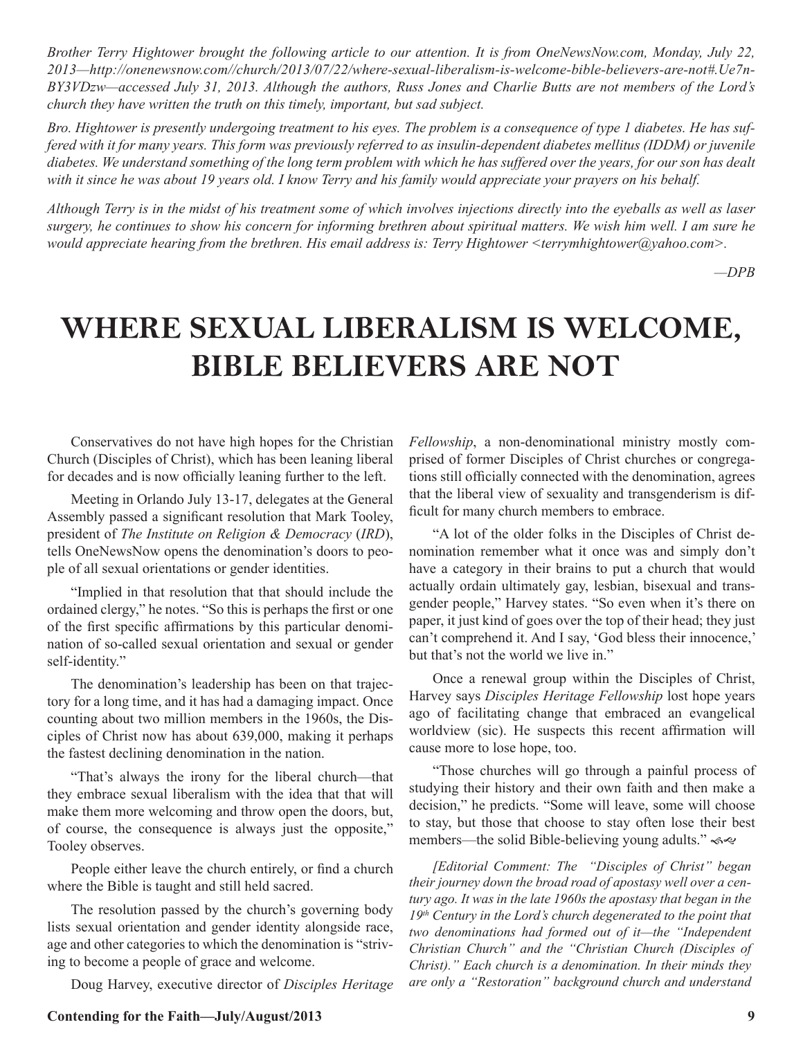*Brother Terry Hightower brought the following article to our attention. It is from OneNewsNow.com, Monday, July 22, 2013—http://onenewsnow.com//church/2013/07/22/where-sexual-liberalism-is-welcome-bible-believers-are-not#.Ue7n-BY3VDzw—accessed July 31, 2013. Although the authors, Russ Jones and Charlie Butts are not members of the Lord's church they have written the truth on this timely, important, but sad subject.*

*Bro. Hightower is presently undergoing treatment to his eyes. The problem is a consequence of type 1 diabetes. He has suffered with it for many years. This form was previously referred to as insulin-dependent diabetes mellitus (IDDM) or juvenile diabetes. We understand something of the long term problem with which he has suffered over the years, for our son has dealt with it since he was about 19 years old. I know Terry and his family would appreciate your prayers on his behalf.*

*Although Terry is in the midst of his treatment some of which involves injections directly into the eyeballs as well as laser surgery, he continues to show his concern for informing brethren about spiritual matters. We wish him well. I am sure he would appreciate hearing from the brethren. His email address is: Terry Hightower <terrymhightower@yahoo.com>.*

*—DPB*

# **WHERE SEXUAL LIBERALISM IS WELCOME, BIBLE BELIEVERS ARE NOT**

Conservatives do not have high hopes for the Christian Church (Disciples of Christ), which has been leaning liberal for decades and is now officially leaning further to the left.

Meeting in Orlando July 13-17, delegates at the General Assembly passed a significant resolution that Mark Tooley, president of *The Institute on Religion & Democracy* (*IRD*), tells OneNewsNow opens the denomination's doors to people of all sexual orientations or gender identities.

"Implied in that resolution that that should include the ordained clergy," he notes. "So this is perhaps the first or one of the first specific affirmations by this particular denomination of so-called sexual orientation and sexual or gender self-identity."

The denomination's leadership has been on that trajectory for a long time, and it has had a damaging impact. Once counting about two million members in the 1960s, the Disciples of Christ now has about 639,000, making it perhaps the fastest declining denomination in the nation.

"That's always the irony for the liberal church—that they embrace sexual liberalism with the idea that that will make them more welcoming and throw open the doors, but, of course, the consequence is always just the opposite," Tooley observes.

People either leave the church entirely, or find a church where the Bible is taught and still held sacred.

The resolution passed by the church's governing body lists sexual orientation and gender identity alongside race, age and other categories to which the denomination is "striving to become a people of grace and welcome.

Doug Harvey, executive director of *Disciples Heritage* 

*Fellowship*, a non-denominational ministry mostly comprised of former Disciples of Christ churches or congregations still officially connected with the denomination, agrees that the liberal view of sexuality and transgenderism is difficult for many church members to embrace.

"A lot of the older folks in the Disciples of Christ denomination remember what it once was and simply don't have a category in their brains to put a church that would actually ordain ultimately gay, lesbian, bisexual and transgender people," Harvey states. "So even when it's there on paper, it just kind of goes over the top of their head; they just can't comprehend it. And I say, 'God bless their innocence,' but that's not the world we live in."

Once a renewal group within the Disciples of Christ, Harvey says *Disciples Heritage Fellowship* lost hope years ago of facilitating change that embraced an evangelical worldview (sic). He suspects this recent affirmation will cause more to lose hope, too.

"Those churches will go through a painful process of studying their history and their own faith and then make a decision," he predicts. "Some will leave, some will choose to stay, but those that choose to stay often lose their best members—the solid Bible-believing young adults."  $\lll$ 

*[Editorial Comment: The "Disciples of Christ" began their journey down the broad road of apostasy well over a century ago. It was in the late 1960s the apostasy that began in the 19th Century in the Lord's church degenerated to the point that two denominations had formed out of it—the "Independent Christian Church" and the "Christian Church (Disciples of Christ)." Each church is a denomination. In their minds they are only a "Restoration" background church and understand*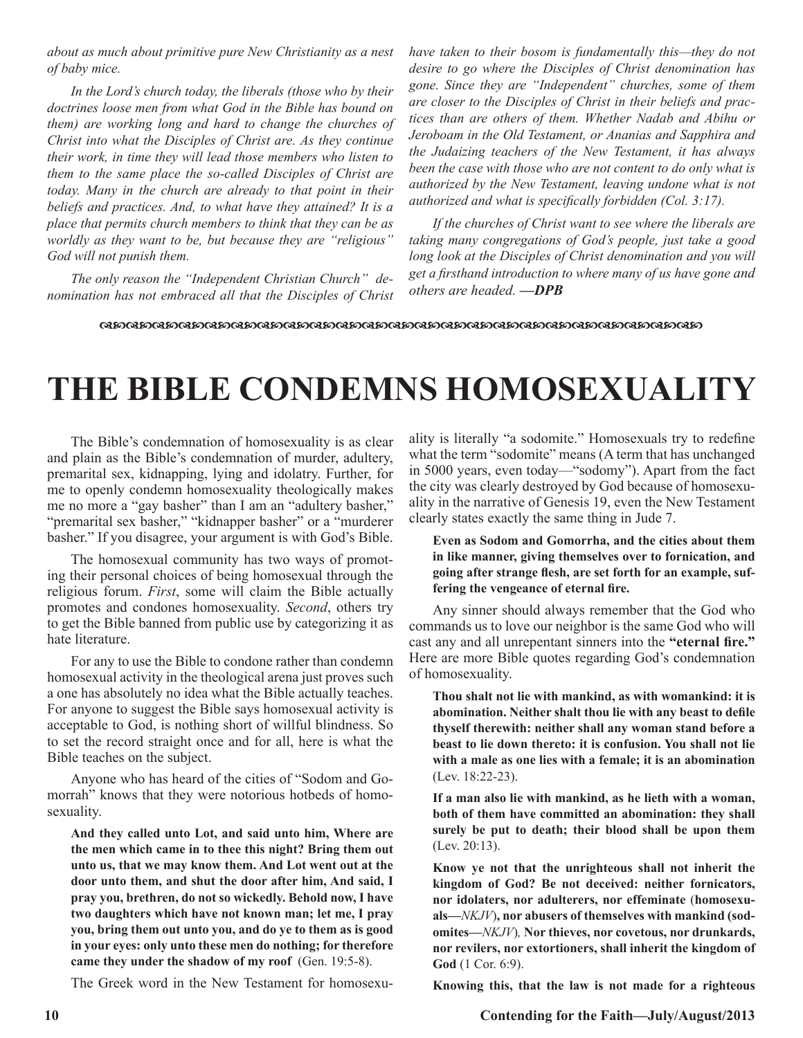*about as much about primitive pure New Christianity as a nest of baby mice.* 

*In the Lord's church today, the liberals (those who by their doctrines loose men from what God in the Bible has bound on them) are working long and hard to change the churches of Christ into what the Disciples of Christ are. As they continue their work, in time they will lead those members who listen to them to the same place the so-called Disciples of Christ are today. Many in the church are already to that point in their beliefs and practices. And, to what have they attained? It is a place that permits church members to think that they can be as worldly as they want to be, but because they are "religious" God will not punish them.*

*The only reason the "Independent Christian Church" denomination has not embraced all that the Disciples of Christ*  *have taken to their bosom is fundamentally this—they do not desire to go where the Disciples of Christ denomination has gone. Since they are "Independent" churches, some of them are closer to the Disciples of Christ in their beliefs and practices than are others of them. Whether Nadab and Abihu or Jeroboam in the Old Testament, or Ananias and Sapphira and the Judaizing teachers of the New Testament, it has always been the case with those who are not content to do only what is authorized by the New Testament, leaving undone what is not authorized and what is specifically forbidden (Col. 3:17).*

*If the churches of Christ want to see where the liberals are taking many congregations of God's people, just take a good long look at the Disciples of Christ denomination and you will get a firsthand introduction to where many of us have gone and others are headed. —DPB*

 $\alpha$ dcd $\alpha$ dcd $\alpha$ dcd $\alpha$ dcd $\alpha$ docd $\alpha$ dcd $\alpha$ dcd $\alpha$ dcdocd $\alpha$ dcdocdocdc $\alpha$ dcdocdocdo

# **THE BIBLE CONDEMNS HOMOSEXUALITY**

The Bible's condemnation of homosexuality is as clear and plain as the Bible's condemnation of murder, adultery, premarital sex, kidnapping, lying and idolatry. Further, for me to openly condemn homosexuality theologically makes me no more a "gay basher" than I am an "adultery basher," "premarital sex basher," "kidnapper basher" or a "murderer basher." If you disagree, your argument is with God's Bible.

The homosexual community has two ways of promoting their personal choices of being homosexual through the religious forum. *First*, some will claim the Bible actually promotes and condones homosexuality. *Second*, others try to get the Bible banned from public use by categorizing it as hate literature.

For any to use the Bible to condone rather than condemn homosexual activity in the theological arena just proves such a one has absolutely no idea what the Bible actually teaches. For anyone to suggest the Bible says homosexual activity is acceptable to God, is nothing short of willful blindness. So to set the record straight once and for all, here is what the Bible teaches on the subject.

Anyone who has heard of the cities of "Sodom and Gomorrah" knows that they were notorious hotbeds of homosexuality.

**And they called unto Lot, and said unto him, Where are the men which came in to thee this night? Bring them out unto us, that we may know them. And Lot went out at the door unto them, and shut the door after him, And said, I pray you, brethren, do not so wickedly. Behold now, I have two daughters which have not known man; let me, I pray you, bring them out unto you, and do ye to them as is good in your eyes: only unto these men do nothing; for therefore came they under the shadow of my roof** (Gen. 19:5-8).

The Greek word in the New Testament for homosexu-

ality is literally "a sodomite." Homosexuals try to redefine what the term "sodomite" means (A term that has unchanged in 5000 years, even today—"sodomy"). Apart from the fact the city was clearly destroyed by God because of homosexuality in the narrative of Genesis 19, even the New Testament clearly states exactly the same thing in Jude 7.

### **Even as Sodom and Gomorrha, and the cities about them in like manner, giving themselves over to fornication, and going after strange flesh, are set forth for an example, suffering the vengeance of eternal fire.**

Any sinner should always remember that the God who commands us to love our neighbor is the same God who will cast any and all unrepentant sinners into the **"eternal fire."** Here are more Bible quotes regarding God's condemnation of homosexuality.

**Thou shalt not lie with mankind, as with womankind: it is abomination. Neither shalt thou lie with any beast to defile thyself therewith: neither shall any woman stand before a beast to lie down thereto: it is confusion. You shall not lie with a male as one lies with a female; it is an abomination**  (Lev. 18:22-23).

**If a man also lie with mankind, as he lieth with a woman, both of them have committed an abomination: they shall surely be put to death; their blood shall be upon them** (Lev. 20:13).

**Know ye not that the unrighteous shall not inherit the kingdom of God? Be not deceived: neither fornicators, nor idolaters, nor adulterers, nor effeminate** (**homosexuals—***NKJV*)**, nor abusers of themselves with mankind (sodomites—***NKJV*)*,* **Nor thieves, nor covetous, nor drunkards, nor revilers, nor extortioners, shall inherit the kingdom of God** (1 Cor. 6:9).

**Knowing this, that the law is not made for a righteous**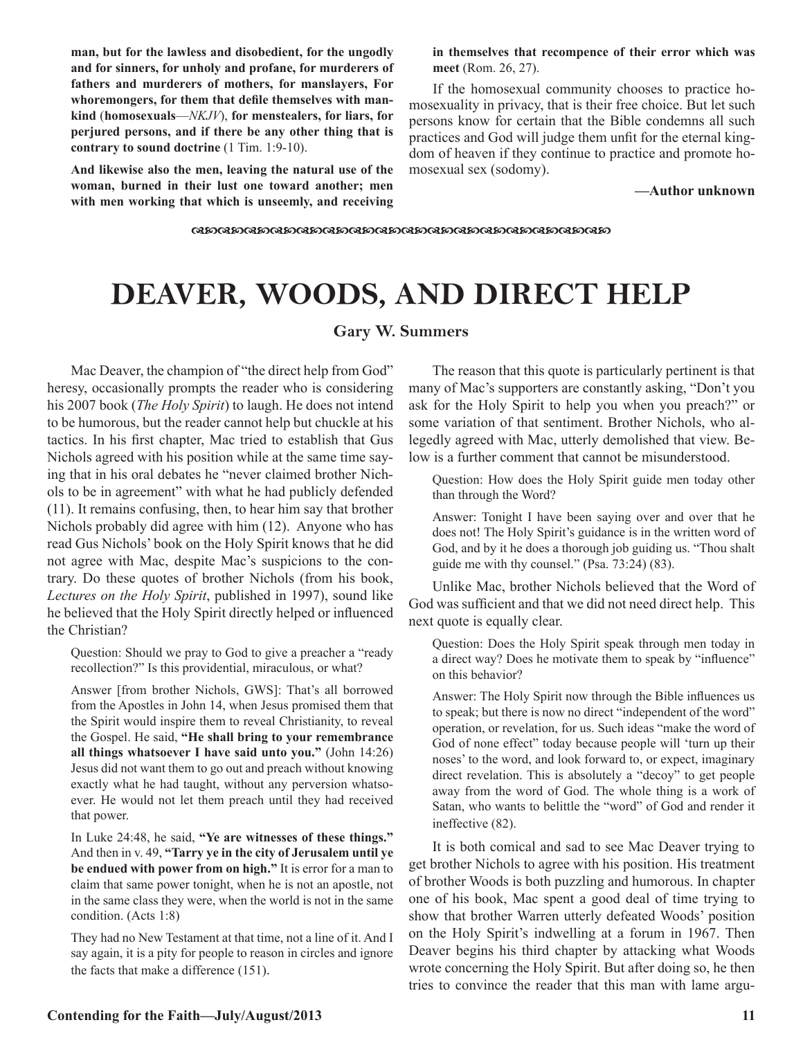**man, but for the lawless and disobedient, for the ungodly and for sinners, for unholy and profane, for murderers of fathers and murderers of mothers, for manslayers, For whoremongers, for them that defile themselves with mankind** (**homosexuals**—*NKJV*), **for menstealers, for liars, for perjured persons, and if there be any other thing that is contrary to sound doctrine** (1 Tim. 1:9-10).

**And likewise also the men, leaving the natural use of the woman, burned in their lust one toward another; men with men working that which is unseemly, and receiving**  **in themselves that recompence of their error which was meet** (Rom. 26, 27).

If the homosexual community chooses to practice homosexuality in privacy, that is their free choice. But let such persons know for certain that the Bible condemns all such practices and God will judge them unfit for the eternal kingdom of heaven if they continue to practice and promote homosexual sex (sodomy).

**—Author unknown**

dcdcdcdcdcdcdcdcdcdcdcdcdcdcdcdc

# **DEAVER, WOODS, AND DIRECT HELP**

## **Gary W. Summers**

Mac Deaver, the champion of "the direct help from God" heresy, occasionally prompts the reader who is considering his 2007 book (*The Holy Spirit*) to laugh. He does not intend to be humorous, but the reader cannot help but chuckle at his tactics. In his first chapter, Mac tried to establish that Gus Nichols agreed with his position while at the same time saying that in his oral debates he "never claimed brother Nichols to be in agreement" with what he had publicly defended (11). It remains confusing, then, to hear him say that brother Nichols probably did agree with him (12). Anyone who has read Gus Nichols' book on the Holy Spirit knows that he did not agree with Mac, despite Mac's suspicions to the contrary. Do these quotes of brother Nichols (from his book, *Lectures on the Holy Spirit*, published in 1997), sound like he believed that the Holy Spirit directly helped or influenced the Christian?

Question: Should we pray to God to give a preacher a "ready recollection?" Is this providential, miraculous, or what?

Answer [from brother Nichols, GWS]: That's all borrowed from the Apostles in John 14, when Jesus promised them that the Spirit would inspire them to reveal Christianity, to reveal the Gospel. He said, **"He shall bring to your remembrance all things whatsoever I have said unto you."** (John 14:26) Jesus did not want them to go out and preach without knowing exactly what he had taught, without any perversion whatsoever. He would not let them preach until they had received that power.

In Luke 24:48, he said, **"Ye are witnesses of these things."**  And then in v. 49, **"Tarry ye in the city of Jerusalem until ye be endued with power from on high."** It is error for a man to claim that same power tonight, when he is not an apostle, not in the same class they were, when the world is not in the same condition. (Acts 1:8)

They had no New Testament at that time, not a line of it. And I say again, it is a pity for people to reason in circles and ignore the facts that make a difference (151).

The reason that this quote is particularly pertinent is that many of Mac's supporters are constantly asking, "Don't you ask for the Holy Spirit to help you when you preach?" or some variation of that sentiment. Brother Nichols, who allegedly agreed with Mac, utterly demolished that view. Below is a further comment that cannot be misunderstood.

Question: How does the Holy Spirit guide men today other than through the Word?

Answer: Tonight I have been saying over and over that he does not! The Holy Spirit's guidance is in the written word of God, and by it he does a thorough job guiding us. "Thou shalt guide me with thy counsel." (Psa. 73:24) (83).

Unlike Mac, brother Nichols believed that the Word of God was sufficient and that we did not need direct help. This next quote is equally clear.

Question: Does the Holy Spirit speak through men today in a direct way? Does he motivate them to speak by "influence" on this behavior?

Answer: The Holy Spirit now through the Bible influences us to speak; but there is now no direct "independent of the word" operation, or revelation, for us. Such ideas "make the word of God of none effect" today because people will 'turn up their noses' to the word, and look forward to, or expect, imaginary direct revelation. This is absolutely a "decoy" to get people away from the word of God. The whole thing is a work of Satan, who wants to belittle the "word" of God and render it ineffective (82).

It is both comical and sad to see Mac Deaver trying to get brother Nichols to agree with his position. His treatment of brother Woods is both puzzling and humorous. In chapter one of his book, Mac spent a good deal of time trying to show that brother Warren utterly defeated Woods' position on the Holy Spirit's indwelling at a forum in 1967. Then Deaver begins his third chapter by attacking what Woods wrote concerning the Holy Spirit. But after doing so, he then tries to convince the reader that this man with lame argu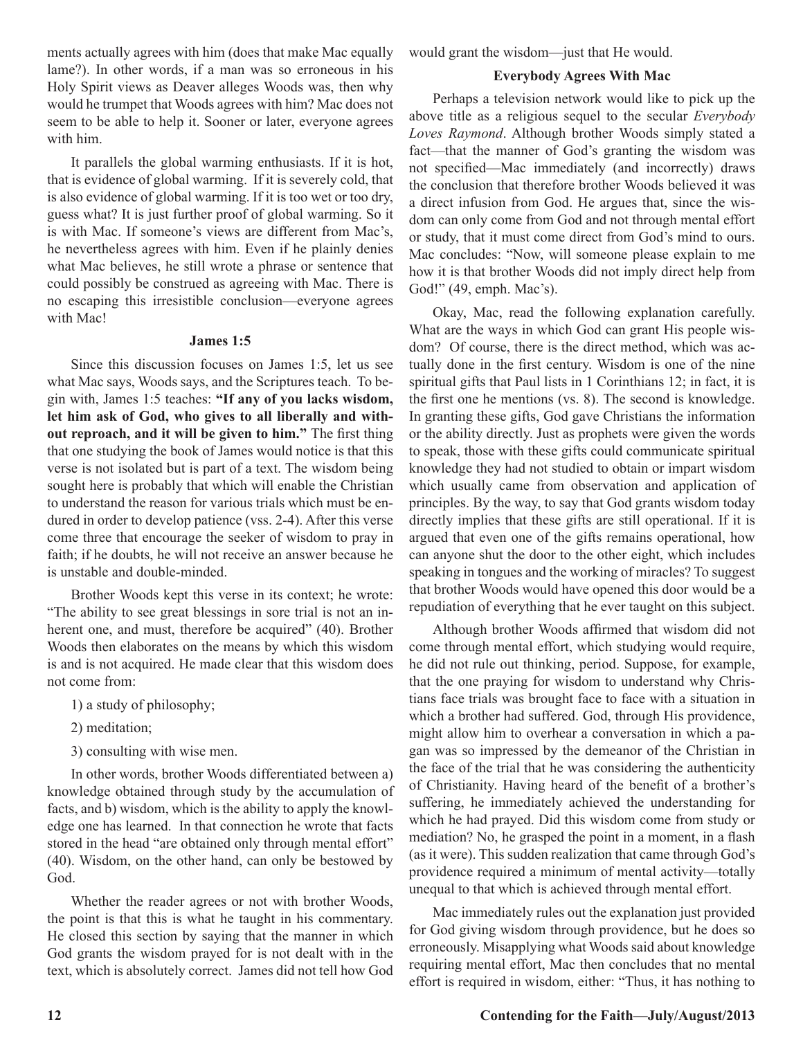ments actually agrees with him (does that make Mac equally lame?). In other words, if a man was so erroneous in his Holy Spirit views as Deaver alleges Woods was, then why would he trumpet that Woods agrees with him? Mac does not seem to be able to help it. Sooner or later, everyone agrees with him.

It parallels the global warming enthusiasts. If it is hot, that is evidence of global warming. If it is severely cold, that is also evidence of global warming. If it is too wet or too dry, guess what? It is just further proof of global warming. So it is with Mac. If someone's views are different from Mac's, he nevertheless agrees with him. Even if he plainly denies what Mac believes, he still wrote a phrase or sentence that could possibly be construed as agreeing with Mac. There is no escaping this irresistible conclusion—everyone agrees with Mac!

#### **James 1:5**

Since this discussion focuses on James 1:5, let us see what Mac says, Woods says, and the Scriptures teach. To begin with, James 1:5 teaches: **"If any of you lacks wisdom, let him ask of God, who gives to all liberally and without reproach, and it will be given to him."** The first thing that one studying the book of James would notice is that this verse is not isolated but is part of a text. The wisdom being sought here is probably that which will enable the Christian to understand the reason for various trials which must be endured in order to develop patience (vss. 2-4). After this verse come three that encourage the seeker of wisdom to pray in faith; if he doubts, he will not receive an answer because he is unstable and double-minded.

Brother Woods kept this verse in its context; he wrote: "The ability to see great blessings in sore trial is not an inherent one, and must, therefore be acquired" (40). Brother Woods then elaborates on the means by which this wisdom is and is not acquired. He made clear that this wisdom does not come from:

- 1) a study of philosophy;
- 2) meditation;
- 3) consulting with wise men.

In other words, brother Woods differentiated between a) knowledge obtained through study by the accumulation of facts, and b) wisdom, which is the ability to apply the knowledge one has learned. In that connection he wrote that facts stored in the head "are obtained only through mental effort" (40). Wisdom, on the other hand, can only be bestowed by God.

Whether the reader agrees or not with brother Woods, the point is that this is what he taught in his commentary. He closed this section by saying that the manner in which God grants the wisdom prayed for is not dealt with in the text, which is absolutely correct. James did not tell how God would grant the wisdom—just that He would.

#### **Everybody Agrees With Mac**

Perhaps a television network would like to pick up the above title as a religious sequel to the secular *Everybody Loves Raymond*. Although brother Woods simply stated a fact—that the manner of God's granting the wisdom was not specified—Mac immediately (and incorrectly) draws the conclusion that therefore brother Woods believed it was a direct infusion from God. He argues that, since the wisdom can only come from God and not through mental effort or study, that it must come direct from God's mind to ours. Mac concludes: "Now, will someone please explain to me how it is that brother Woods did not imply direct help from God!" (49, emph. Mac's).

Okay, Mac, read the following explanation carefully. What are the ways in which God can grant His people wisdom? Of course, there is the direct method, which was actually done in the first century. Wisdom is one of the nine spiritual gifts that Paul lists in 1 Corinthians 12; in fact, it is the first one he mentions (vs. 8). The second is knowledge. In granting these gifts, God gave Christians the information or the ability directly. Just as prophets were given the words to speak, those with these gifts could communicate spiritual knowledge they had not studied to obtain or impart wisdom which usually came from observation and application of principles. By the way, to say that God grants wisdom today directly implies that these gifts are still operational. If it is argued that even one of the gifts remains operational, how can anyone shut the door to the other eight, which includes speaking in tongues and the working of miracles? To suggest that brother Woods would have opened this door would be a repudiation of everything that he ever taught on this subject.

Although brother Woods affirmed that wisdom did not come through mental effort, which studying would require, he did not rule out thinking, period. Suppose, for example, that the one praying for wisdom to understand why Christians face trials was brought face to face with a situation in which a brother had suffered. God, through His providence, might allow him to overhear a conversation in which a pagan was so impressed by the demeanor of the Christian in the face of the trial that he was considering the authenticity of Christianity. Having heard of the benefit of a brother's suffering, he immediately achieved the understanding for which he had prayed. Did this wisdom come from study or mediation? No, he grasped the point in a moment, in a flash (as it were). This sudden realization that came through God's providence required a minimum of mental activity—totally unequal to that which is achieved through mental effort.

Mac immediately rules out the explanation just provided for God giving wisdom through providence, but he does so erroneously. Misapplying what Woods said about knowledge requiring mental effort, Mac then concludes that no mental effort is required in wisdom, either: "Thus, it has nothing to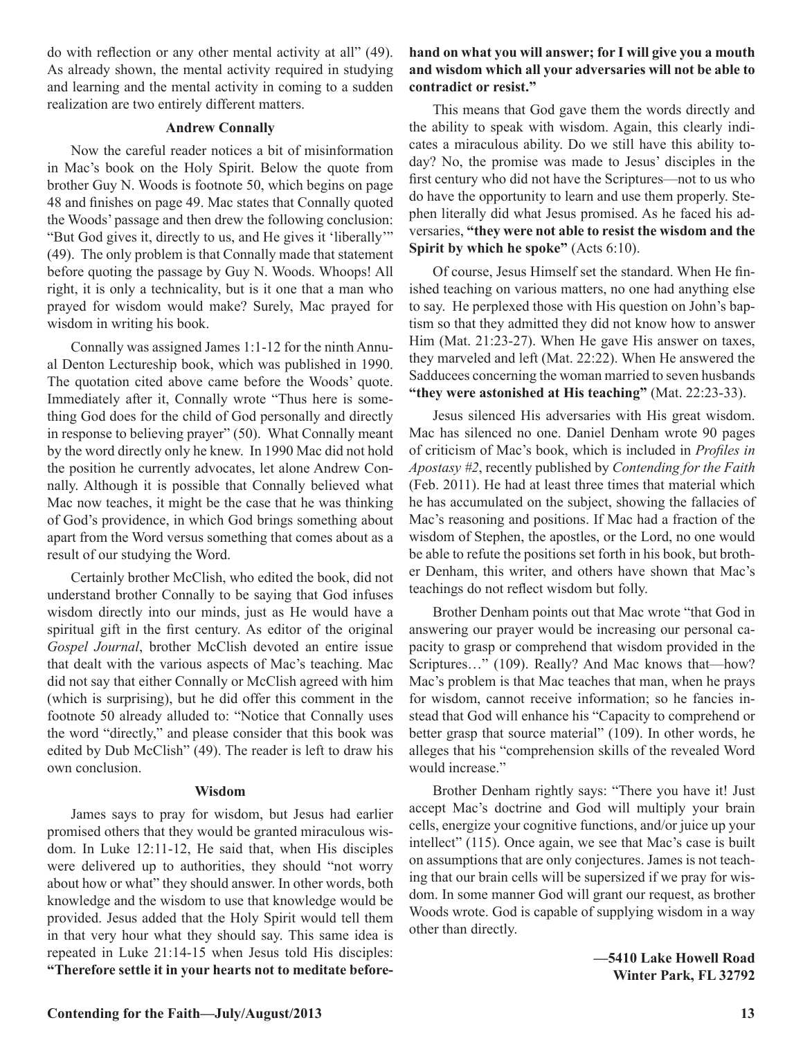do with reflection or any other mental activity at all" (49). As already shown, the mental activity required in studying and learning and the mental activity in coming to a sudden realization are two entirely different matters.

### **Andrew Connally**

Now the careful reader notices a bit of misinformation in Mac's book on the Holy Spirit. Below the quote from brother Guy N. Woods is footnote 50, which begins on page 48 and finishes on page 49. Mac states that Connally quoted the Woods' passage and then drew the following conclusion: "But God gives it, directly to us, and He gives it 'liberally'" (49). The only problem is that Connally made that statement before quoting the passage by Guy N. Woods. Whoops! All right, it is only a technicality, but is it one that a man who prayed for wisdom would make? Surely, Mac prayed for wisdom in writing his book.

Connally was assigned James 1:1-12 for the ninth Annual Denton Lectureship book, which was published in 1990. The quotation cited above came before the Woods' quote. Immediately after it, Connally wrote "Thus here is something God does for the child of God personally and directly in response to believing prayer" (50). What Connally meant by the word directly only he knew. In 1990 Mac did not hold the position he currently advocates, let alone Andrew Connally. Although it is possible that Connally believed what Mac now teaches, it might be the case that he was thinking of God's providence, in which God brings something about apart from the Word versus something that comes about as a result of our studying the Word.

Certainly brother McClish, who edited the book, did not understand brother Connally to be saying that God infuses wisdom directly into our minds, just as He would have a spiritual gift in the first century. As editor of the original *Gospel Journal*, brother McClish devoted an entire issue that dealt with the various aspects of Mac's teaching. Mac did not say that either Connally or McClish agreed with him (which is surprising), but he did offer this comment in the footnote 50 already alluded to: "Notice that Connally uses the word "directly," and please consider that this book was edited by Dub McClish" (49). The reader is left to draw his own conclusion.

#### **Wisdom**

James says to pray for wisdom, but Jesus had earlier promised others that they would be granted miraculous wisdom. In Luke 12:11-12, He said that, when His disciples were delivered up to authorities, they should "not worry about how or what" they should answer. In other words, both knowledge and the wisdom to use that knowledge would be provided. Jesus added that the Holy Spirit would tell them in that very hour what they should say. This same idea is repeated in Luke 21:14-15 when Jesus told His disciples: **"Therefore settle it in your hearts not to meditate before-**

# **hand on what you will answer; for I will give you a mouth and wisdom which all your adversaries will not be able to contradict or resist."**

This means that God gave them the words directly and the ability to speak with wisdom. Again, this clearly indicates a miraculous ability. Do we still have this ability today? No, the promise was made to Jesus' disciples in the first century who did not have the Scriptures—not to us who do have the opportunity to learn and use them properly. Stephen literally did what Jesus promised. As he faced his adversaries, **"they were not able to resist the wisdom and the Spirit by which he spoke"** (Acts 6:10).

Of course, Jesus Himself set the standard. When He finished teaching on various matters, no one had anything else to say. He perplexed those with His question on John's baptism so that they admitted they did not know how to answer Him (Mat. 21:23-27). When He gave His answer on taxes, they marveled and left (Mat. 22:22). When He answered the Sadducees concerning the woman married to seven husbands **"they were astonished at His teaching"** (Mat. 22:23-33).

Jesus silenced His adversaries with His great wisdom. Mac has silenced no one. Daniel Denham wrote 90 pages of criticism of Mac's book, which is included in *Profiles in Apostasy #2*, recently published by *Contending for the Faith*  (Feb. 2011). He had at least three times that material which he has accumulated on the subject, showing the fallacies of Mac's reasoning and positions. If Mac had a fraction of the wisdom of Stephen, the apostles, or the Lord, no one would be able to refute the positions set forth in his book, but brother Denham, this writer, and others have shown that Mac's teachings do not reflect wisdom but folly.

Brother Denham points out that Mac wrote "that God in answering our prayer would be increasing our personal capacity to grasp or comprehend that wisdom provided in the Scriptures…" (109). Really? And Mac knows that—how? Mac's problem is that Mac teaches that man, when he prays for wisdom, cannot receive information; so he fancies instead that God will enhance his "Capacity to comprehend or better grasp that source material" (109). In other words, he alleges that his "comprehension skills of the revealed Word would increase."

Brother Denham rightly says: "There you have it! Just accept Mac's doctrine and God will multiply your brain cells, energize your cognitive functions, and/or juice up your intellect" (115). Once again, we see that Mac's case is built on assumptions that are only conjectures. James is not teaching that our brain cells will be supersized if we pray for wisdom. In some manner God will grant our request, as brother Woods wrote. God is capable of supplying wisdom in a way other than directly.

> **—5410 Lake Howell Road Winter Park, FL 32792**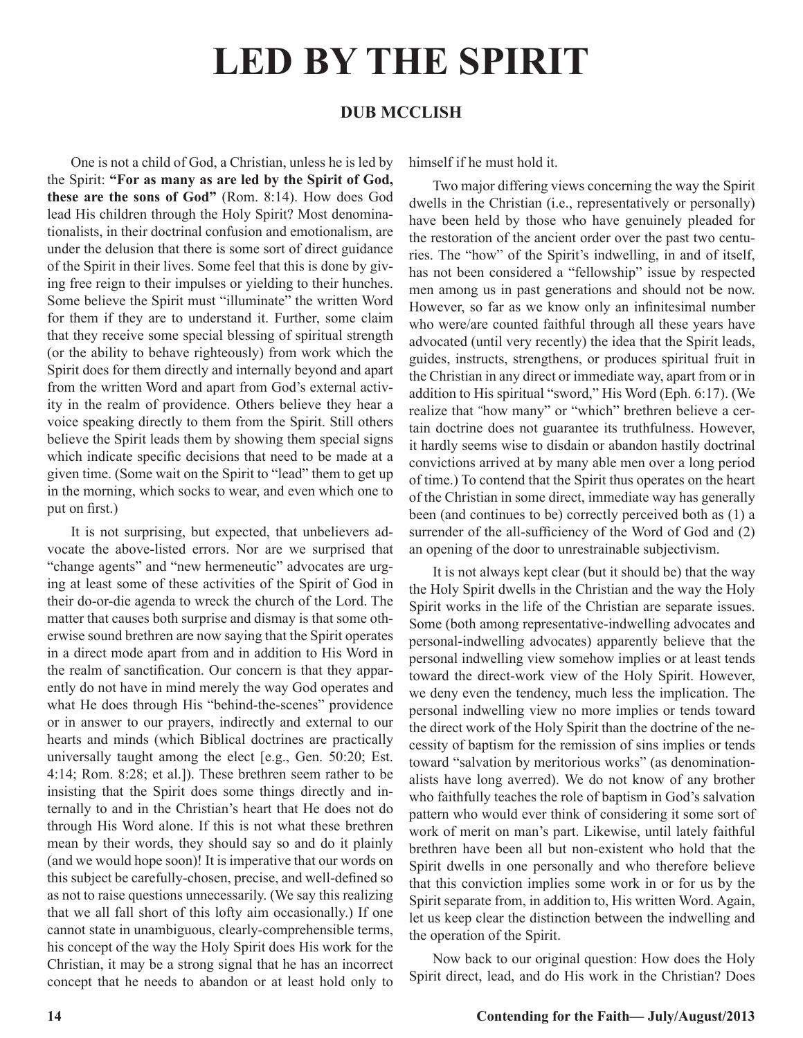# **DUB MCCLISH**

One is not a child of God, a Christian, unless he is led by the Spirit: **"For as many as are led by the Spirit of God, these are the sons of God"** (Rom. 8:14). How does God lead His children through the Holy Spirit? Most denominationalists, in their doctrinal confusion and emotionalism, are under the delusion that there is some sort of direct guidance of the Spirit in their lives. Some feel that this is done by giving free reign to their impulses or yielding to their hunches. Some believe the Spirit must "illuminate" the written Word for them if they are to understand it. Further, some claim that they receive some special blessing of spiritual strength (or the ability to behave righteously) from work which the Spirit does for them directly and internally beyond and apart from the written Word and apart from God's external activity in the realm of providence. Others believe they hear a voice speaking directly to them from the Spirit. Still others believe the Spirit leads them by showing them special signs which indicate specific decisions that need to be made at a given time. (Some wait on the Spirit to "lead" them to get up in the morning, which socks to wear, and even which one to put on first.)

It is not surprising, but expected, that unbelievers advocate the above-listed errors. Nor are we surprised that "change agents" and "new hermeneutic" advocates are urging at least some of these activities of the Spirit of God in their do-or-die agenda to wreck the church of the Lord. The matter that causes both surprise and dismay is that some otherwise sound brethren are now saying that the Spirit operates in a direct mode apart from and in addition to His Word in the realm of sanctification. Our concern is that they apparently do not have in mind merely the way God operates and what He does through His "behind-the-scenes" providence or in answer to our prayers, indirectly and external to our hearts and minds (which Biblical doctrines are practically universally taught among the elect [e.g., Gen. 50:20; Est. 4:14; Rom. 8:28; et al.]). These brethren seem rather to be insisting that the Spirit does some things directly and internally to and in the Christian's heart that He does not do through His Word alone. If this is not what these brethren mean by their words, they should say so and do it plainly (and we would hope soon)! It is imperative that our words on this subject be carefully-chosen, precise, and well-defined so as not to raise questions unnecessarily. (We say this realizing that we all fall short of this lofty aim occasionally.) If one cannot state in unambiguous, clearly-comprehensible terms, his concept of the way the Holy Spirit does His work for the Christian, it may be a strong signal that he has an incorrect concept that he needs to abandon or at least hold only to

himself if he must hold it.

Two major differing views concerning the way the Spirit dwells in the Christian (i.e., representatively or personally) have been held by those who have genuinely pleaded for the restoration of the ancient order over the past two centuries. The "how" of the Spirit's indwelling, in and of itself, has not been considered a "fellowship" issue by respected men among us in past generations and should not be now. However, so far as we know only an infinitesimal number who were/are counted faithful through all these years have advocated (until very recently) the idea that the Spirit leads, guides, instructs, strengthens, or produces spiritual fruit in the Christian in any direct or immediate way, apart from or in addition to His spiritual "sword," His Word (Eph. 6:17). (We realize that "how many" or "which" brethren believe a certain doctrine does not guarantee its truthfulness. However, it hardly seems wise to disdain or abandon hastily doctrinal convictions arrived at by many able men over a long period of time.) To contend that the Spirit thus operates on the heart of the Christian in some direct, immediate way has generally been (and continues to be) correctly perceived both as (1) a surrender of the all-sufficiency of the Word of God and  $(2)$ an opening of the door to unrestrainable subjectivism.

It is not always kept clear (but it should be) that the way the Holy Spirit dwells in the Christian and the way the Holy Spirit works in the life of the Christian are separate issues. Some (both among representative-indwelling advocates and personal-indwelling advocates) apparently believe that the personal indwelling view somehow implies or at least tends toward the direct-work view of the Holy Spirit. However, we deny even the tendency, much less the implication. The personal indwelling view no more implies or tends toward the direct work of the Holy Spirit than the doctrine of the necessity of baptism for the remission of sins implies or tends toward "salvation by meritorious works" (as denominationalists have long averred). We do not know of any brother who faithfully teaches the role of baptism in God's salvation pattern who would ever think of considering it some sort of work of merit on man's part. Likewise, until lately faithful brethren have been all but non-existent who hold that the Spirit dwells in one personally and who therefore believe that this conviction implies some work in or for us by the Spirit separate from, in addition to, His written Word. Again, let us keep clear the distinction between the indwelling and the operation of the Spirit.

Now back to our original question: How does the Holy Spirit direct, lead, and do His work in the Christian? Does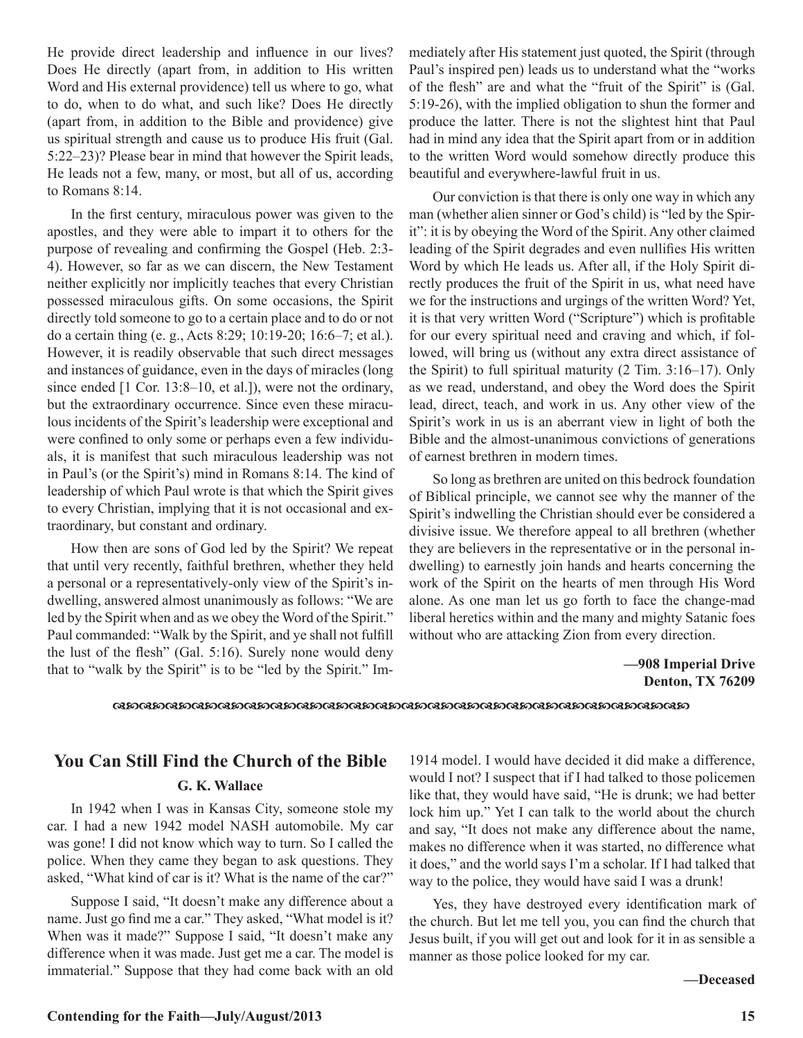He provide direct leadership and influence in our lives? Does He directly (apart from, in addition to His written Word and His external providence) tell us where to go, what to do, when to do what, and such like? Does He directly (apart from, in addition to the Bible and providence) give us spiritual strength and cause us to produce His fruit (Gal. 5:22–23)? Please bear in mind that however the Spirit leads, He leads not a few, many, or most, but all of us, according to Romans 8:14.

In the first century, miraculous power was given to the apostles, and they were able to impart it to others for the purpose of revealing and confirming the Gospel (Heb. 2:3- 4). However, so far as we can discern, the New Testament neither explicitly nor implicitly teaches that every Christian possessed miraculous gifts. On some occasions, the Spirit directly told someone to go to a certain place and to do or not do a certain thing (e. g., Acts 8:29; 10:19-20; 16:6–7; et al.). However, it is readily observable that such direct messages and instances of guidance, even in the days of miracles (long since ended [1 Cor. 13:8–10, et al.]), were not the ordinary, but the extraordinary occurrence. Since even these miraculous incidents of the Spirit's leadership were exceptional and were confined to only some or perhaps even a few individuals, it is manifest that such miraculous leadership was not in Paul's (or the Spirit's) mind in Romans 8:14. The kind of leadership of which Paul wrote is that which the Spirit gives to every Christian, implying that it is not occasional and extraordinary, but constant and ordinary.

How then are sons of God led by the Spirit? We repeat that until very recently, faithful brethren, whether they held a personal or a representatively-only view of the Spirit's indwelling, answered almost unanimously as follows: "We are led by the Spirit when and as we obey the Word of the Spirit." Paul commanded: "Walk by the Spirit, and ye shall not fulfill the lust of the flesh" (Gal. 5:16). Surely none would deny that to "walk by the Spirit" is to be "led by the Spirit." Immediately after His statement just quoted, the Spirit (through Paul's inspired pen) leads us to understand what the "works of the flesh" are and what the "fruit of the Spirit" is (Gal. 5:19-26), with the implied obligation to shun the former and produce the latter. There is not the slightest hint that Paul had in mind any idea that the Spirit apart from or in addition to the written Word would somehow directly produce this beautiful and everywhere-lawful fruit in us.

Our conviction is that there is only one way in which any man (whether alien sinner or God's child) is "led by the Spirit": it is by obeying the Word of the Spirit. Any other claimed leading of the Spirit degrades and even nullifies His written Word by which He leads us. After all, if the Holy Spirit directly produces the fruit of the Spirit in us, what need have we for the instructions and urgings of the written Word? Yet, it is that very written Word ("Scripture") which is profitable for our every spiritual need and craving and which, if followed, will bring us (without any extra direct assistance of the Spirit) to full spiritual maturity (2 Tim. 3:16–17). Only as we read, understand, and obey the Word does the Spirit lead, direct, teach, and work in us. Any other view of the Spirit's work in us is an aberrant view in light of both the Bible and the almost-unanimous convictions of generations of earnest brethren in modern times.

So long as brethren are united on this bedrock foundation of Biblical principle, we cannot see why the manner of the Spirit's indwelling the Christian should ever be considered a divisive issue. We therefore appeal to all brethren (whether they are believers in the representative or in the personal indwelling) to earnestly join hands and hearts concerning the work of the Spirit on the hearts of men through His Word alone. As one man let us go forth to face the change-mad liberal heretics within and the many and mighty Satanic foes without who are attacking Zion from every direction.

### **—908 Imperial Drive Denton, TX 76209**

dcdcdcdcdcdcdcdcdcdcdcdcdcdcdcdcdcdcdcdcdcdc

# **You Can Still Find the Church of the Bible G. K. Wallace**

In 1942 when I was in Kansas City, someone stole my car. I had a new 1942 model NASH automobile. My car was gone! I did not know which way to turn. So I called the police. When they came they began to ask questions. They asked, "What kind of car is it? What is the name of the car?"

Suppose I said, "It doesn't make any difference about a name. Just go find me a car." They asked, "What model is it? When was it made?" Suppose I said, "It doesn't make any difference when it was made. Just get me a car. The model is immaterial." Suppose that they had come back with an old 1914 model. I would have decided it did make a difference, would I not? I suspect that if I had talked to those policemen like that, they would have said, "He is drunk; we had better lock him up." Yet I can talk to the world about the church and say, "It does not make any difference about the name, makes no difference when it was started, no difference what it does," and the world says I'm a scholar. If I had talked that way to the police, they would have said I was a drunk!

Yes, they have destroyed every identification mark of the church. But let me tell you, you can find the church that Jesus built, if you will get out and look for it in as sensible a manner as those police looked for my car.

**—Deceased**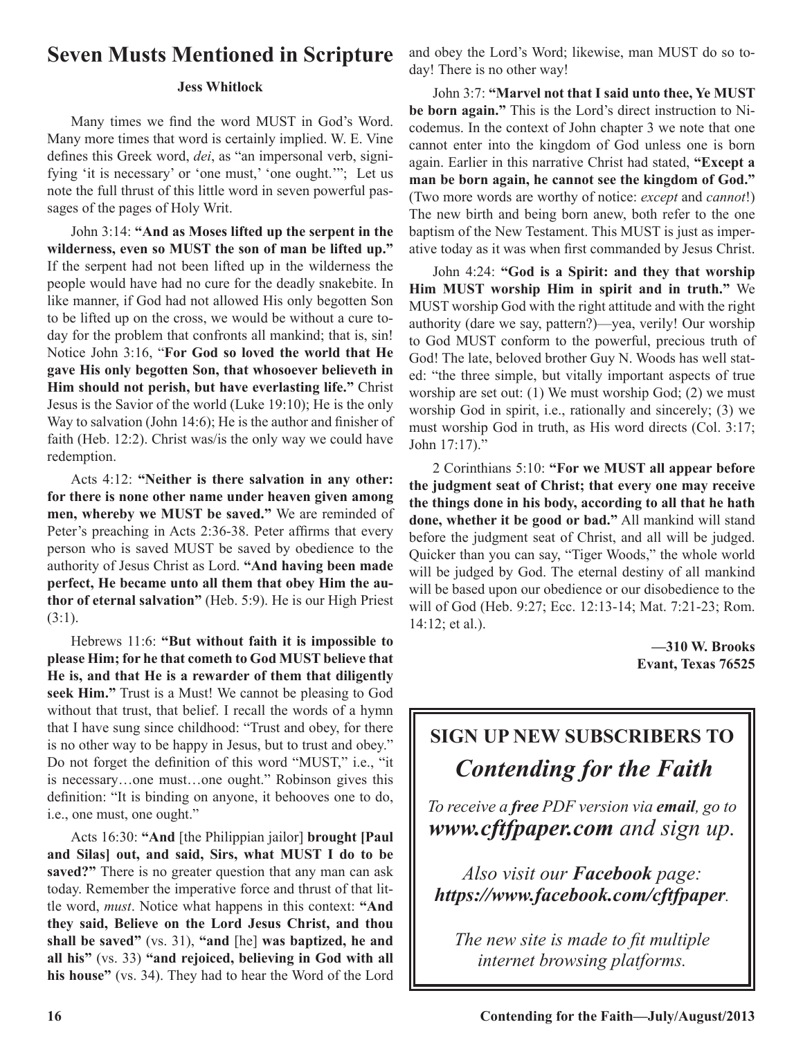# **Seven Musts Mentioned in Scripture**

## **Jess Whitlock**

Many times we find the word MUST in God's Word. Many more times that word is certainly implied. W. E. Vine defines this Greek word, *dei*, as "an impersonal verb, signifying 'it is necessary' or 'one must,' 'one ought.'"; Let us note the full thrust of this little word in seven powerful passages of the pages of Holy Writ.

John 3:14: **"And as Moses lifted up the serpent in the wilderness, even so MUST the son of man be lifted up."**  If the serpent had not been lifted up in the wilderness the people would have had no cure for the deadly snakebite. In like manner, if God had not allowed His only begotten Son to be lifted up on the cross, we would be without a cure today for the problem that confronts all mankind; that is, sin! Notice John 3:16, "**For God so loved the world that He gave His only begotten Son, that whosoever believeth in Him should not perish, but have everlasting life."** Christ Jesus is the Savior of the world (Luke 19:10); He is the only Way to salvation (John 14:6); He is the author and finisher of faith (Heb. 12:2). Christ was/is the only way we could have redemption.

Acts 4:12: **"Neither is there salvation in any other: for there is none other name under heaven given among men, whereby we MUST be saved."** We are reminded of Peter's preaching in Acts 2:36-38. Peter affirms that every person who is saved MUST be saved by obedience to the authority of Jesus Christ as Lord. **"And having been made perfect, He became unto all them that obey Him the author of eternal salvation"** (Heb. 5:9). He is our High Priest (3:1).

Hebrews 11:6: **"But without faith it is impossible to please Him; for he that cometh to God MUST believe that He is, and that He is a rewarder of them that diligently seek Him."** Trust is a Must! We cannot be pleasing to God without that trust, that belief. I recall the words of a hymn that I have sung since childhood: "Trust and obey, for there is no other way to be happy in Jesus, but to trust and obey." Do not forget the definition of this word "MUST," i.e., "it is necessary…one must…one ought." Robinson gives this definition: "It is binding on anyone, it behooves one to do, i.e., one must, one ought."

Acts 16:30: **"And** [the Philippian jailor] **brought [Paul and Silas] out, and said, Sirs, what MUST I do to be saved?"** There is no greater question that any man can ask today. Remember the imperative force and thrust of that little word, *must*. Notice what happens in this context: **"And they said, Believe on the Lord Jesus Christ, and thou shall be saved"** (vs. 31), **"and** [he] **was baptized, he and all his"** (vs. 33) **"and rejoiced, believing in God with all his house"** (vs. 34). They had to hear the Word of the Lord

and obey the Lord's Word; likewise, man MUST do so today! There is no other way!

John 3:7: **"Marvel not that I said unto thee, Ye MUST be born again."** This is the Lord's direct instruction to Nicodemus. In the context of John chapter 3 we note that one cannot enter into the kingdom of God unless one is born again. Earlier in this narrative Christ had stated, **"Except a man be born again, he cannot see the kingdom of God."** (Two more words are worthy of notice: *except* and *cannot*!) The new birth and being born anew, both refer to the one baptism of the New Testament. This MUST is just as imperative today as it was when first commanded by Jesus Christ.

John 4:24: **"God is a Spirit: and they that worship Him MUST worship Him in spirit and in truth."** We MUST worship God with the right attitude and with the right authority (dare we say, pattern?)—yea, verily! Our worship to God MUST conform to the powerful, precious truth of God! The late, beloved brother Guy N. Woods has well stated: "the three simple, but vitally important aspects of true worship are set out: (1) We must worship God; (2) we must worship God in spirit, i.e., rationally and sincerely; (3) we must worship God in truth, as His word directs (Col. 3:17; John 17:17)."

2 Corinthians 5:10: **"For we MUST all appear before the judgment seat of Christ; that every one may receive the things done in his body, according to all that he hath done, whether it be good or bad."** All mankind will stand before the judgment seat of Christ, and all will be judged. Quicker than you can say, "Tiger Woods," the whole world will be judged by God. The eternal destiny of all mankind will be based upon our obedience or our disobedience to the will of God (Heb. 9:27; Ecc. 12:13-14; Mat. 7:21-23; Rom. 14:12; et al.).

> **—310 W. Brooks Evant, Texas 76525**

# **SIGN UP NEW SUBSCRIBERS TO** *Contending for the Faith*

*To receive a free PDF version via email, go to www.cftfpaper.com and sign up.*

*Also visit our Facebook page: https://www.facebook.com/cftfpaper.*

*The new site is made to fit multiple internet browsing platforms.*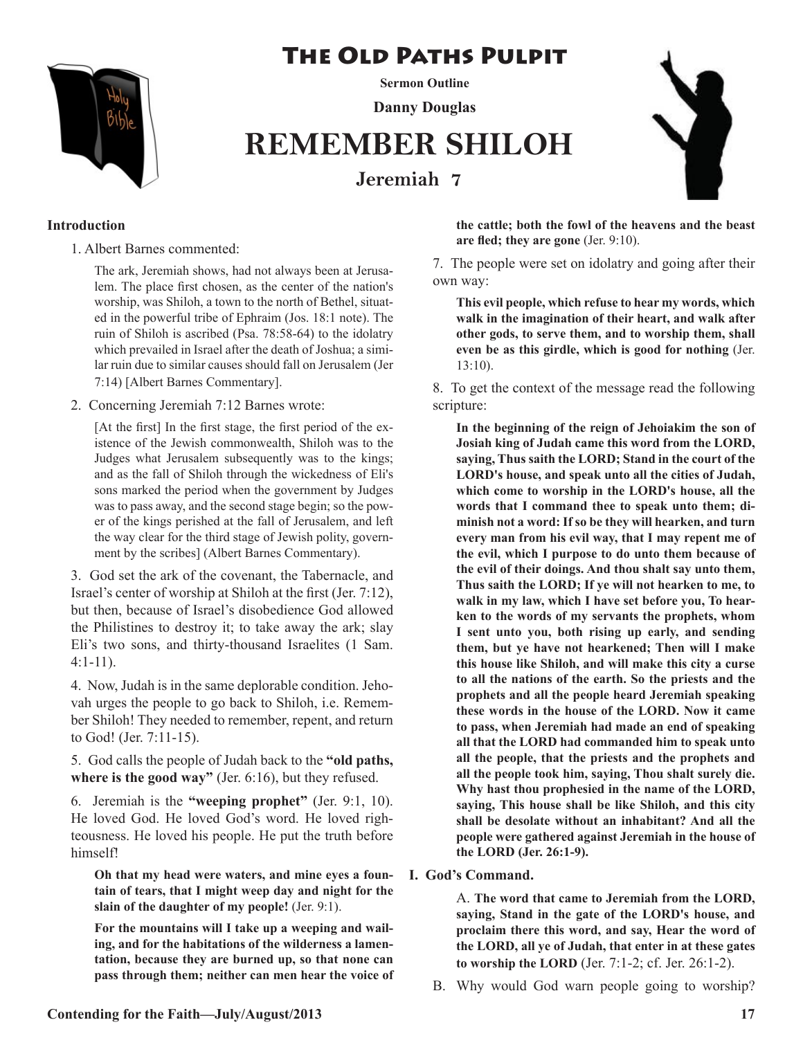# The Old Paths Pulpit



**Sermon Outline Danny Douglas**

# **REMEMBER SHILOH Jeremiah 7**



## **Introduction**

1. Albert Barnes commented:

The ark, Jeremiah shows, had not always been at Jerusalem. The place first chosen, as the center of the nation's worship, was Shiloh, a town to the north of Bethel, situated in the powerful tribe of Ephraim (Jos. 18:1 note). The ruin of Shiloh is ascribed (Psa. 78:58-64) to the idolatry which prevailed in Israel after the death of Joshua; a similar ruin due to similar causes should fall on Jerusalem (Jer 7:14) [Albert Barnes Commentary].

2. Concerning Jeremiah 7:12 Barnes wrote:

[At the first] In the first stage, the first period of the existence of the Jewish commonwealth, Shiloh was to the Judges what Jerusalem subsequently was to the kings; and as the fall of Shiloh through the wickedness of Eli's sons marked the period when the government by Judges was to pass away, and the second stage begin; so the power of the kings perished at the fall of Jerusalem, and left the way clear for the third stage of Jewish polity, government by the scribes] (Albert Barnes Commentary).

3. God set the ark of the covenant, the Tabernacle, and Israel's center of worship at Shiloh at the first (Jer. 7:12), but then, because of Israel's disobedience God allowed the Philistines to destroy it; to take away the ark; slay Eli's two sons, and thirty-thousand Israelites (1 Sam. 4:1-11).

4. Now, Judah is in the same deplorable condition. Jehovah urges the people to go back to Shiloh, i.e. Remember Shiloh! They needed to remember, repent, and return to God! (Jer. 7:11-15).

5. God calls the people of Judah back to the **"old paths, where is the good way"** (Jer. 6:16), but they refused.

6. Jeremiah is the **"weeping prophet"** (Jer. 9:1, 10). He loved God. He loved God's word. He loved righteousness. He loved his people. He put the truth before himself!

**Oh that my head were waters, and mine eyes a fountain of tears, that I might weep day and night for the slain of the daughter of my people!** (Jer. 9:1).

**For the mountains will I take up a weeping and wailing, and for the habitations of the wilderness a lamentation, because they are burned up, so that none can pass through them; neither can men hear the voice of**  **the cattle; both the fowl of the heavens and the beast are fled; they are gone** (Jer. 9:10).

7. The people were set on idolatry and going after their own way:

**This evil people, which refuse to hear my words, which walk in the imagination of their heart, and walk after other gods, to serve them, and to worship them, shall even be as this girdle, which is good for nothing** (Jer. 13:10).

8. To get the context of the message read the following scripture:

**In the beginning of the reign of Jehoiakim the son of Josiah king of Judah came this word from the LORD, saying, Thus saith the LORD; Stand in the court of the LORD's house, and speak unto all the cities of Judah, which come to worship in the LORD's house, all the words that I command thee to speak unto them; diminish not a word: If so be they will hearken, and turn every man from his evil way, that I may repent me of the evil, which I purpose to do unto them because of the evil of their doings. And thou shalt say unto them, Thus saith the LORD; If ye will not hearken to me, to walk in my law, which I have set before you, To hearken to the words of my servants the prophets, whom I sent unto you, both rising up early, and sending them, but ye have not hearkened; Then will I make this house like Shiloh, and will make this city a curse to all the nations of the earth. So the priests and the prophets and all the people heard Jeremiah speaking these words in the house of the LORD. Now it came to pass, when Jeremiah had made an end of speaking all that the LORD had commanded him to speak unto all the people, that the priests and the prophets and all the people took him, saying, Thou shalt surely die. Why hast thou prophesied in the name of the LORD, saying, This house shall be like Shiloh, and this city shall be desolate without an inhabitant? And all the people were gathered against Jeremiah in the house of the LORD (Jer. 26:1-9).** 

**I. God's Command.**

A. **The word that came to Jeremiah from the LORD, saying, Stand in the gate of the LORD's house, and proclaim there this word, and say, Hear the word of the LORD, all ye of Judah, that enter in at these gates to worship the LORD** (Jer. 7:1-2; cf. Jer. 26:1-2).

B. Why would God warn people going to worship?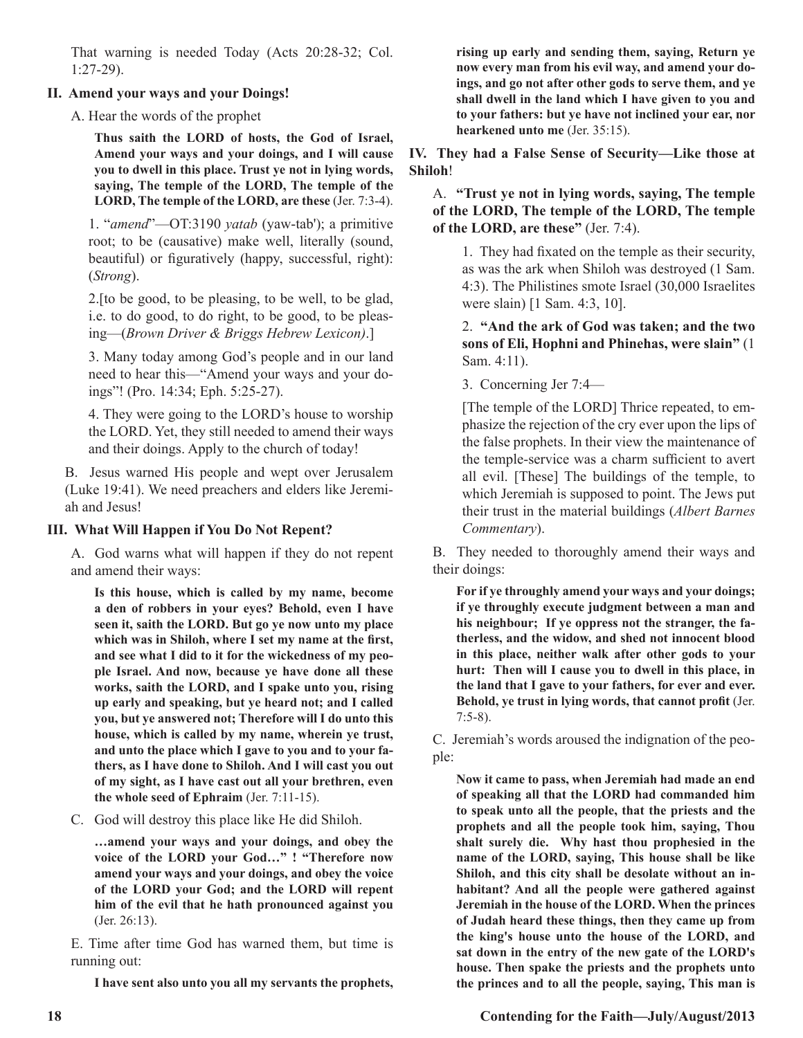That warning is needed Today (Acts 20:28-32; Col. 1:27-29).

## **II. Amend your ways and your Doings!**

A. Hear the words of the prophet

**Thus saith the LORD of hosts, the God of Israel, Amend your ways and your doings, and I will cause you to dwell in this place. Trust ye not in lying words, saying, The temple of the LORD, The temple of the LORD, The temple of the LORD, are these** (Jer. 7:3-4).

1. "*amend*"—OT:3190 *yatab* (yaw-tab'); a primitive root; to be (causative) make well, literally (sound, beautiful) or figuratively (happy, successful, right): (*Strong*).

2.[to be good, to be pleasing, to be well, to be glad, i.e. to do good, to do right, to be good, to be pleasing—(*Brown Driver & Briggs Hebrew Lexicon)*.]

3. Many today among God's people and in our land need to hear this—"Amend your ways and your doings"! (Pro. 14:34; Eph. 5:25-27).

4. They were going to the LORD's house to worship the LORD. Yet, they still needed to amend their ways and their doings. Apply to the church of today!

B. Jesus warned His people and wept over Jerusalem (Luke 19:41). We need preachers and elders like Jeremiah and Jesus!

## **III. What Will Happen if You Do Not Repent?**

A. God warns what will happen if they do not repent and amend their ways:

**Is this house, which is called by my name, become a den of robbers in your eyes? Behold, even I have seen it, saith the LORD. But go ye now unto my place which was in Shiloh, where I set my name at the first, and see what I did to it for the wickedness of my people Israel. And now, because ye have done all these works, saith the LORD, and I spake unto you, rising up early and speaking, but ye heard not; and I called you, but ye answered not; Therefore will I do unto this house, which is called by my name, wherein ye trust, and unto the place which I gave to you and to your fathers, as I have done to Shiloh. And I will cast you out of my sight, as I have cast out all your brethren, even the whole seed of Ephraim** (Jer. 7:11-15).

C. God will destroy this place like He did Shiloh.

**…amend your ways and your doings, and obey the voice of the LORD your God…" ! "Therefore now amend your ways and your doings, and obey the voice of the LORD your God; and the LORD will repent him of the evil that he hath pronounced against you** (Jer. 26:13).

E. Time after time God has warned them, but time is running out:

**I have sent also unto you all my servants the prophets,** 

**rising up early and sending them, saying, Return ye now every man from his evil way, and amend your doings, and go not after other gods to serve them, and ye shall dwell in the land which I have given to you and to your fathers: but ye have not inclined your ear, nor hearkened unto me** (Jer. 35:15).

**IV. They had a False Sense of Security—Like those at Shiloh**!

A. **"Trust ye not in lying words, saying, The temple of the LORD, The temple of the LORD, The temple of the LORD, are these"** (Jer. 7:4).

1. They had fixated on the temple as their security, as was the ark when Shiloh was destroyed (1 Sam. 4:3). The Philistines smote Israel (30,000 Israelites were slain) [1 Sam. 4:3, 10].

2. **"And the ark of God was taken; and the two sons of Eli, Hophni and Phinehas, were slain"** (1 Sam. 4:11).

3. Concerning Jer 7:4—

[The temple of the LORD] Thrice repeated, to emphasize the rejection of the cry ever upon the lips of the false prophets. In their view the maintenance of the temple-service was a charm sufficient to avert all evil. [These] The buildings of the temple, to which Jeremiah is supposed to point. The Jews put their trust in the material buildings (*Albert Barnes Commentary*).

B. They needed to thoroughly amend their ways and their doings:

**For if ye throughly amend your ways and your doings; if ye throughly execute judgment between a man and his neighbour; If ye oppress not the stranger, the fatherless, and the widow, and shed not innocent blood in this place, neither walk after other gods to your hurt: Then will I cause you to dwell in this place, in the land that I gave to your fathers, for ever and ever. Behold, ye trust in lying words, that cannot profit** (Jer. 7:5-8).

C. Jeremiah's words aroused the indignation of the people:

**Now it came to pass, when Jeremiah had made an end of speaking all that the LORD had commanded him to speak unto all the people, that the priests and the prophets and all the people took him, saying, Thou shalt surely die. Why hast thou prophesied in the name of the LORD, saying, This house shall be like Shiloh, and this city shall be desolate without an inhabitant? And all the people were gathered against Jeremiah in the house of the LORD. When the princes of Judah heard these things, then they came up from the king's house unto the house of the LORD, and sat down in the entry of the new gate of the LORD's house. Then spake the priests and the prophets unto the princes and to all the people, saying, This man is** 

**18 Contending for the Faith—July/August/2013**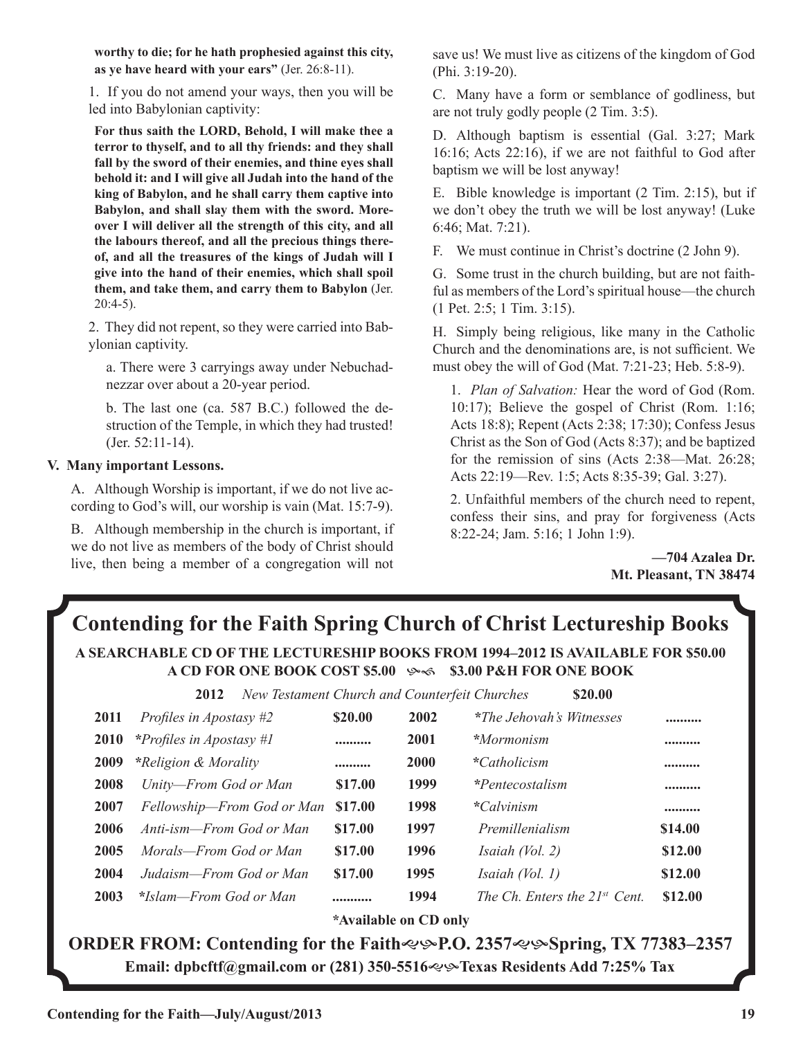**worthy to die; for he hath prophesied against this city, as ye have heard with your ears"** (Jer. 26:8-11).

1. If you do not amend your ways, then you will be led into Babylonian captivity:

**For thus saith the LORD, Behold, I will make thee a terror to thyself, and to all thy friends: and they shall fall by the sword of their enemies, and thine eyes shall behold it: and I will give all Judah into the hand of the king of Babylon, and he shall carry them captive into Babylon, and shall slay them with the sword. Moreover I will deliver all the strength of this city, and all the labours thereof, and all the precious things thereof, and all the treasures of the kings of Judah will I give into the hand of their enemies, which shall spoil them, and take them, and carry them to Babylon** (Jer. 20:4-5).

2. They did not repent, so they were carried into Babylonian captivity.

a. There were 3 carryings away under Nebuchadnezzar over about a 20-year period.

b. The last one (ca. 587 B.C.) followed the destruction of the Temple, in which they had trusted! (Jer. 52:11-14).

## **V. Many important Lessons.**

A. Although Worship is important, if we do not live according to God's will, our worship is vain (Mat. 15:7-9).

B. Although membership in the church is important, if we do not live as members of the body of Christ should live, then being a member of a congregation will not save us! We must live as citizens of the kingdom of God (Phi. 3:19-20).

C. Many have a form or semblance of godliness, but are not truly godly people (2 Tim. 3:5).

D. Although baptism is essential (Gal. 3:27; Mark 16:16; Acts 22:16), if we are not faithful to God after baptism we will be lost anyway!

E. Bible knowledge is important (2 Tim. 2:15), but if we don't obey the truth we will be lost anyway! (Luke 6:46; Mat. 7:21).

F. We must continue in Christ's doctrine (2 John 9).

G. Some trust in the church building, but are not faithful as members of the Lord's spiritual house—the church (1 Pet. 2:5; 1 Tim. 3:15).

H. Simply being religious, like many in the Catholic Church and the denominations are, is not sufficient. We must obey the will of God (Mat. 7:21-23; Heb. 5:8-9).

1. *Plan of Salvation:* Hear the word of God (Rom. 10:17); Believe the gospel of Christ (Rom. 1:16; Acts 18:8); Repent (Acts 2:38; 17:30); Confess Jesus Christ as the Son of God (Acts 8:37); and be baptized for the remission of sins (Acts 2:38—Mat. 26:28; Acts 22:19—Rev. 1:5; Acts 8:35-39; Gal. 3:27).

2. Unfaithful members of the church need to repent, confess their sins, and pray for forgiveness (Acts 8:22-24; Jam. 5:16; 1 John 1:9).

> **—704 Azalea Dr. Mt. Pleasant, TN 38474**

# **Contending for the Faith Spring Church of Christ Lectureship Books A SEARCHABLE CD OF THE LECTURESHIP BOOKS FROM 1994–2012 IS AVAILABLE FOR \$50.00 A CD FOR ONE BOOK COST \$5.00**  $\sim$  **\$3.00 P&H FOR ONE BOOK**

 **2012** *New Testament Church and Counterfeit Churches* **\$20.00**

| 2011        | Profiles in Apostasy #2    | \$20.00 | 2002        | *The Jehovah's Witnesses           |         |
|-------------|----------------------------|---------|-------------|------------------------------------|---------|
| <b>2010</b> | *Profiles in Apostasy #1   |         | 2001        | *Mormonism                         |         |
| 2009        | *Religion & Morality       |         | <b>2000</b> | <i>*Catholicism</i>                |         |
| 2008        | Unity-From God or Man      | \$17.00 | 1999        | <i>*Pentecostalism</i>             |         |
| 2007        | Fellowship-From God or Man | \$17.00 | 1998        | <i>*Calvinism</i>                  |         |
| 2006        | Anti-ism—From God or Man   | \$17.00 | 1997        | Premillenialism                    | \$14.00 |
| 2005        | Morals—From God or Man     | \$17.00 | 1996        | <i>Isaiah</i> $(Vol. 2)$           | \$12.00 |
| 2004        | Judaism—From God or Man    | \$17.00 | 1995        | <i>Isaiah</i> $(Vol. 1)$           | \$12.00 |
| 2003        | *Islam—From God or Man     |         | 1994        | The Ch. Enters the $21^{st}$ Cent. | \$12.00 |
|             |                            |         |             |                                    |         |

*\****Available on CD only**

**ORDER FROM: Contending for the Faith**  $\ll$   $\cdot$  **P.O. 2357** $\ll$   $\cdot$  **Spring, TX 77383–2357 Email: dpbcftf@gmail.com or (281) 350-5516**gh**Texas Residents Add 7:25% Tax**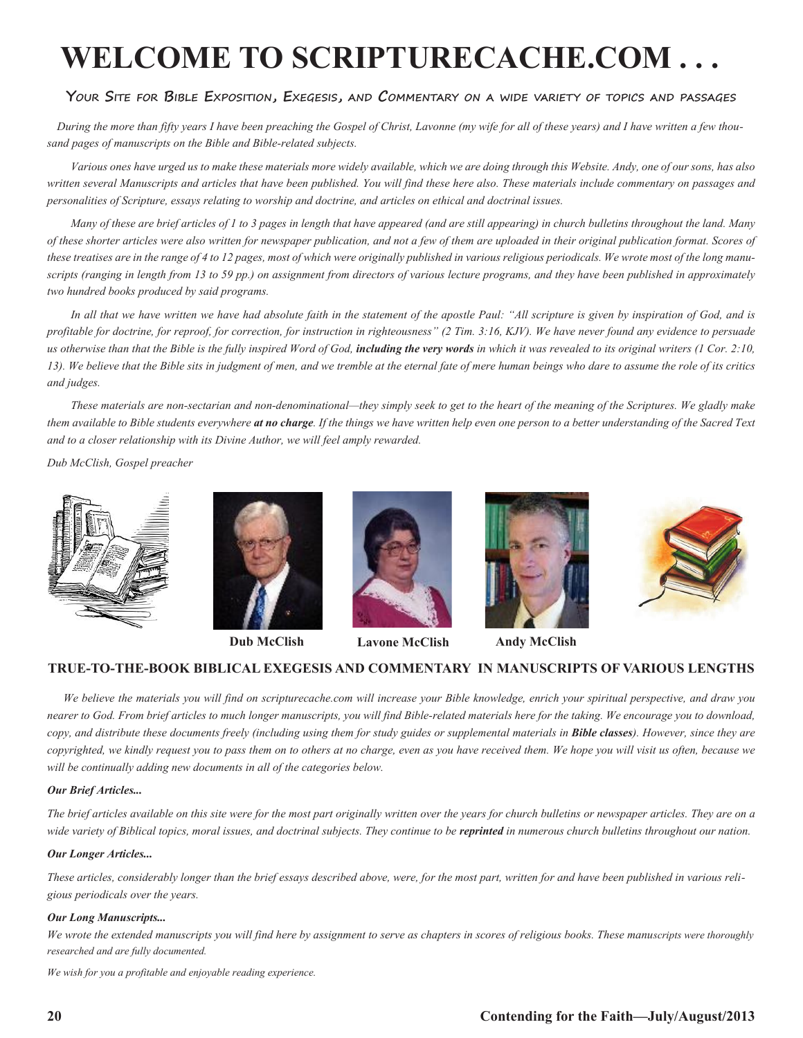# **WELCOME TO SCRIPTURECACHE.COM . . .**

### **Your Site for Bible Exposition, Exegesis, and Commentary on a wide variety of topics and passages**

 *During the more than fifty years I have been preaching the Gospel of Christ, Lavonne (my wife for all of these years) and I have written a few thousand pages of manuscripts on the Bible and Bible-related subjects.* 

*Various ones have urged us to make these materials more widely available, which we are doing through this Website. Andy, one of our sons, has also written several Manuscripts and articles that have been published. You will find these here also. These materials include commentary on passages and personalities of Scripture, essays relating to worship and doctrine, and articles on ethical and doctrinal issues.* 

*Many of these are brief articles of 1 to 3 pages in length that have appeared (and are still appearing) in church bulletins throughout the land. Many of these shorter articles were also written for newspaper publication, and not a few of them are uploaded in their original publication format. Scores of these treatises are in the range of 4 to 12 pages, most of which were originally published in various religious periodicals. We wrote most of the long manuscripts (ranging in length from 13 to 59 pp.) on assignment from directors of various lecture programs, and they have been published in approximately two hundred books produced by said programs.*

In all that we have written we have had absolute faith in the statement of the apostle Paul: "All scripture is given by inspiration of God, and is *profitable for doctrine, for reproof, for correction, for instruction in righteousness" (2 Tim. 3:16, KJV). We have never found any evidence to persuade*  us otherwise than that the Bible is the fully inspired Word of God, **including the very words** in which it was revealed to its original writers (1 Cor. 2:10, *13). We believe that the Bible sits in judgment of men, and we tremble at the eternal fate of mere human beings who dare to assume the role of its critics and judges.*

*These materials are non-sectarian and non-denominational—they simply seek to get to the heart of the meaning of the Scriptures. We gladly make them available to Bible students everywhere at no charge. If the things we have written help even one person to a better understanding of the Sacred Text and to a closer relationship with its Divine Author, we will feel amply rewarded.*

*Dub McClish, Gospel preacher*









**Dub McClish Lavone McClish Andy McClish**





## **TRUE-TO-THE-BOOK BIBLICAL EXEGESIS AND COMMENTARY IN MANUSCRIPTS OF VARIOUS LENGTHS**

 *We believe the materials you will find on scripturecache.com will increase your Bible knowledge, enrich your spiritual perspective, and draw you nearer to God. From brief articles to much longer manuscripts, you will find Bible-related materials here for the taking. We encourage you to download, copy, and distribute these documents freely (including using them for study guides or supplemental materials in Bible classes). However, since they are copyrighted, we kindly request you to pass them on to others at no charge, even as you have received them. We hope you will visit us often, because we will be continually adding new documents in all of the categories below.* 

#### *Our Brief Articles...*

*The brief articles available on this site were for the most part originally written over the years for church bulletins or newspaper articles. They are on a*  wide variety of Biblical topics, moral issues, and doctrinal subjects. They continue to be **reprinted** in numerous church bulletins throughout our nation.

#### *Our Longer Articles...*

*These articles, considerably longer than the brief essays described above, were, for the most part, written for and have been published in various religious periodicals over the years.*

#### *Our Long Manuscripts...*

*We wrote the extended manuscripts you will find here by assignment to serve as chapters in scores of religious books. These manuscripts were thoroughly researched and are fully documented.*

*We wish for you a profitable and enjoyable reading experience.*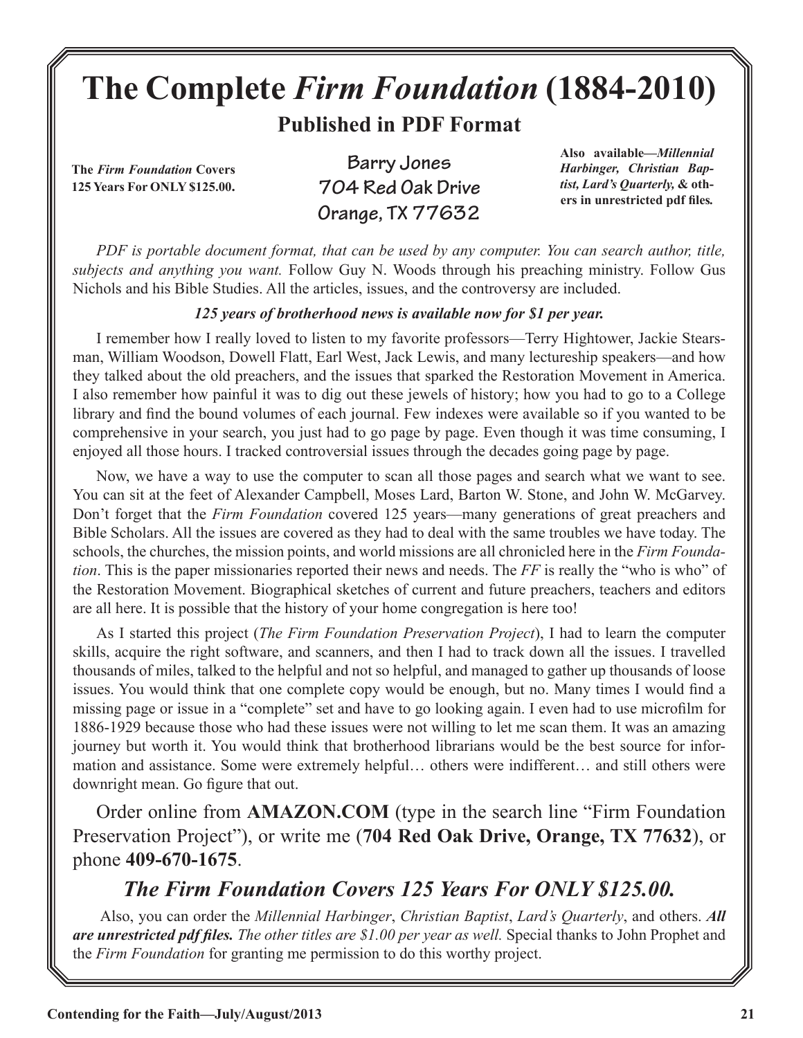# **The Complete** *Firm Foundation* **(1884-2010)**

**Published in PDF Format**

**The** *Firm Foundation* **Covers 125 Years For ONLY \$125.00.**

**Barry Jones 704 Red Oak Drive Orange, TX 77632**

**Also available***—Millennial Harbinger, Christian Baptist, Lard's Quarterly,* **& others in unrestricted pdf files***.*

*PDF is portable document format, that can be used by any computer. You can search author, title, subjects and anything you want.* Follow Guy N. Woods through his preaching ministry. Follow Gus Nichols and his Bible Studies. All the articles, issues, and the controversy are included.

# *125 years of brotherhood news is available now for \$1 per year.*

I remember how I really loved to listen to my favorite professors—Terry Hightower, Jackie Stearsman, William Woodson, Dowell Flatt, Earl West, Jack Lewis, and many lectureship speakers—and how they talked about the old preachers, and the issues that sparked the Restoration Movement in America. I also remember how painful it was to dig out these jewels of history; how you had to go to a College library and find the bound volumes of each journal. Few indexes were available so if you wanted to be comprehensive in your search, you just had to go page by page. Even though it was time consuming, I enjoyed all those hours. I tracked controversial issues through the decades going page by page.

Now, we have a way to use the computer to scan all those pages and search what we want to see. You can sit at the feet of Alexander Campbell, Moses Lard, Barton W. Stone, and John W. McGarvey. Don't forget that the *Firm Foundation* covered 125 years—many generations of great preachers and Bible Scholars. All the issues are covered as they had to deal with the same troubles we have today. The schools, the churches, the mission points, and world missions are all chronicled here in the *Firm Foundation*. This is the paper missionaries reported their news and needs. The *FF* is really the "who is who" of the Restoration Movement. Biographical sketches of current and future preachers, teachers and editors are all here. It is possible that the history of your home congregation is here too!

As I started this project (*The Firm Foundation Preservation Project*), I had to learn the computer skills, acquire the right software, and scanners, and then I had to track down all the issues. I travelled thousands of miles, talked to the helpful and not so helpful, and managed to gather up thousands of loose issues. You would think that one complete copy would be enough, but no. Many times I would find a missing page or issue in a "complete" set and have to go looking again. I even had to use microfilm for 1886-1929 because those who had these issues were not willing to let me scan them. It was an amazing journey but worth it. You would think that brotherhood librarians would be the best source for information and assistance. Some were extremely helpful… others were indifferent… and still others were downright mean. Go figure that out.

Order online from **AMAZON.COM** (type in the search line "Firm Foundation Preservation Project"), or write me (**704 Red Oak Drive, Orange, TX 77632**), or phone **409-670-1675**.

# *The Firm Foundation Covers 125 Years For ONLY \$125.00.*

 Also, you can order the *Millennial Harbinger*, *Christian Baptist*, *Lard's Quarterly*, and others. *All are unrestricted pdf files. The other titles are \$1.00 per year as well.* Special thanks to John Prophet and the *Firm Foundation* for granting me permission to do this worthy project.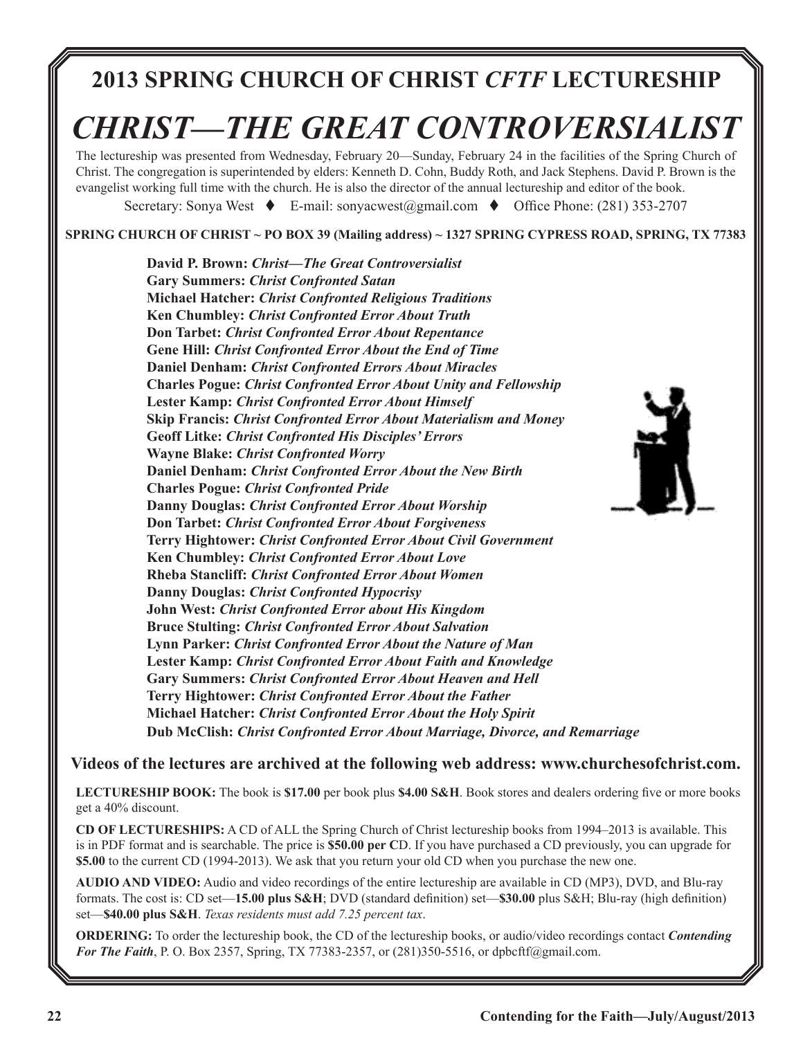# **2013 SPRING CHURCH OF CHRIST** *CFTF* **LECTURESHIP**

# *CHRIST—THE GREAT CONTROVERSIALIST*

The lectureship was presented from Wednesday, February 20—Sunday, February 24 in the facilities of the Spring Church of Christ. The congregation is superintended by elders: Kenneth D. Cohn, Buddy Roth, and Jack Stephens. David P. Brown is the evangelist working full time with the church. He is also the director of the annual lectureship and editor of the book.

Secretary: Sonya West  $\bullet$  E-mail: sonyacwest@gmail.com  $\bullet$  Office Phone: (281) 353-2707

**SPRING CHURCH OF CHRIST ~ PO BOX 39 (Mailing address) ~ 1327 SPRING CYPRESS ROAD, SPRING, TX 77383**

**David P. Brown:** *Christ—The Great Controversialist* **Gary Summers:** *Christ Confronted Satan* **Michael Hatcher:** *Christ Confronted Religious Traditions* **Ken Chumbley:** *Christ Confronted Error About Truth* **Don Tarbet:** *Christ Confronted Error About Repentance* **Gene Hill:** *Christ Confronted Error About the End of Time* **Daniel Denham:** *Christ Confronted Errors About Miracles* **Charles Pogue:** *Christ Confronted Error About Unity and Fellowship* **Lester Kamp:** *Christ Confronted Error About Himself*  **Skip Francis:** *Christ Confronted Error About Materialism and Money* **Geoff Litke:** *Christ Confronted His Disciples' Errors* **Wayne Blake:** *Christ Confronted Worry*  **Daniel Denham:** *Christ Confronted Error About the New Birth* **Charles Pogue:** *Christ Confronted Pride* **Danny Douglas:** *Christ Confronted Error About Worship* **Don Tarbet:** *Christ Confronted Error About Forgiveness*  **Terry Hightower:** *Christ Confronted Error About Civil Government* **Ken Chumbley:** *Christ Confronted Error About Love* **Rheba Stancliff:** *Christ Confronted Error About Women*  **Danny Douglas:** *Christ Confronted Hypocrisy* **John West:** *Christ Confronted Error about His Kingdom*  **Bruce Stulting:** *Christ Confronted Error About Salvation* **Lynn Parker:** *Christ Confronted Error About the Nature of Man*  **Lester Kamp:** *Christ Confronted Error About Faith and Knowledge* **Gary Summers:** *Christ Confronted Error About Heaven and Hell* **Terry Hightower:** *Christ Confronted Error About the Father*  **Michael Hatcher:** *Christ Confronted Error About the Holy Spirit*  **Dub McClish:** *Christ Confronted Error About Marriage, Divorce, and Remarriage*



## **Videos of the lectures are archived at the following web address: www.churchesofchrist.com.**

**LECTURESHIP BOOK:** The book is **\$17.00** per book plus **\$4.00 S&H**. Book stores and dealers ordering five or more books get a 40% discount.

**CD OF LECTURESHIPS:** A CD of ALL the Spring Church of Christ lectureship books from 1994–2013 is available. This is in PDF format and is searchable. The price is **\$50.00 per C**D. If you have purchased a CD previously, you can upgrade for **\$5.00** to the current CD (1994-2013). We ask that you return your old CD when you purchase the new one.

**AUDIO AND VIDEO:** Audio and video recordings of the entire lectureship are available in CD (MP3), DVD, and Blu-ray formats. The cost is: CD set—**15.00 plus S&H**; DVD (standard definition) set—**\$30.00** plus S&H; Blu-ray (high definition) set—**\$40.00 plus S&H**. *Texas residents must add 7.25 percent tax*.

**ORDERING:** To order the lectureship book, the CD of the lectureship books, or audio/video recordings contact *Contending For The Faith*, P. O. Box 2357, Spring, TX 77383-2357, or (281)350-5516, or dpbcftf@gmail.com.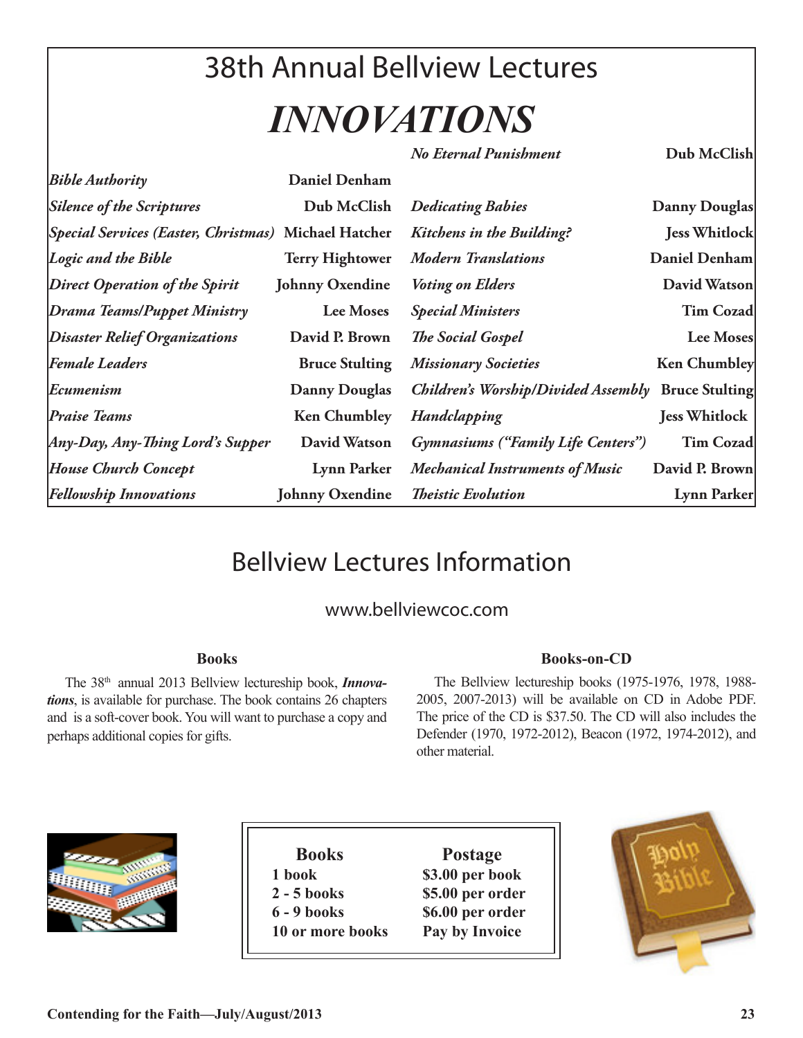# 38th Annual Bellview Lectures *INNOVATIONS*

*No Eternal Punishment* **Dub McClish**

| <b>Bible Authority</b>                                | <b>Daniel Denham</b>   |                                                    |                      |
|-------------------------------------------------------|------------------------|----------------------------------------------------|----------------------|
| <b>Silence of the Scriptures</b>                      | Dub McClish            | <b>Dedicating Babies</b>                           | Danny Douglas        |
| [Special Services (Easter, Christmas) Michael Hatcher |                        | Kitchens in the Building?                          | <b>Jess Whitlock</b> |
| Logic and the Bible                                   | <b>Terry Hightower</b> | <b>Modern Translations</b>                         | Daniel Denham        |
| <b>Direct Operation of the Spirit</b>                 | <b>Johnny Oxendine</b> | <b>Voting on Elders</b>                            | David Watson         |
| Drama Teams/Puppet Ministry                           | <b>Lee Moses</b>       | <b>Special Ministers</b>                           | <b>Tim Cozad</b>     |
| <b>Disaster Relief Organizations</b>                  | David P. Brown         | <b>The Social Gospel</b>                           | Lee Moses            |
| <b>Female Leaders</b>                                 | <b>Bruce Stulting</b>  | <b>Missionary Societies</b>                        | <b>Ken Chumbley</b>  |
| Ecumenism                                             | <b>Danny Douglas</b>   | Children's Worship/Divided Assembly Bruce Stulting |                      |
| <b>Praise Teams</b>                                   | <b>Ken Chumbley</b>    | Handclapping                                       | <b>Jess Whitlock</b> |
| Any-Day, Any-Thing Lord's Supper                      | David Watson           | Gymnasiums ("Family Life Centers")                 | <b>Tim Cozad</b>     |
| <b>House Church Concept</b>                           | Lynn Parker            | <b>Mechanical Instruments of Music</b>             | David P. Brown       |
| <b>Fellowship Innovations</b>                         | <b>Johnny Oxendine</b> | <b>Theistic Evolution</b>                          | Lynn Parker          |

# Bellview Lectures Information

# www.bellviewcoc.com

# **Books**

The 38th annual 2013 Bellview lectureship book, *Innovations*, is available for purchase. The book contains 26 chapters and is a soft-cover book. You will want to purchase a copy and perhaps additional copies for gifts.

# **Books-on-CD**

The Bellview lectureship books (1975-1976, 1978, 1988- 2005, 2007-2013) will be available on CD in Adobe PDF. The price of the CD is \$37.50. The CD will also includes the Defender (1970, 1972-2012), Beacon (1972, 1974-2012), and other material.



| <b>Books</b>     | <b>Postage</b>   |
|------------------|------------------|
| 1 book           | \$3.00 per book  |
| $2 - 5$ books    | \$5.00 per order |
| $6 - 9$ books    | \$6.00 per order |
| 10 or more books | Pay by Invoice   |